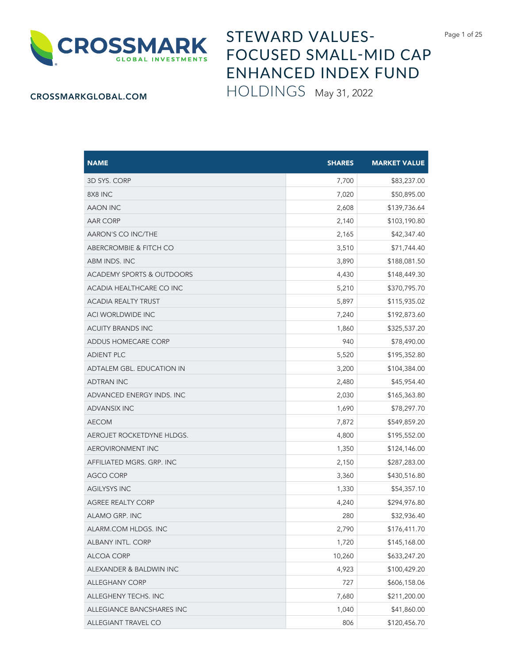

## STEWARD VALUES-FOCUSED SMALL-MID CAP ENHANCED INDEX FUND HOLDINGS May 31, 2022

## CROSSMARKGLOBAL.COM

| <b>NAME</b>                          | <b>SHARES</b> | <b>MARKET VALUE</b> |
|--------------------------------------|---------------|---------------------|
| 3D SYS. CORP                         | 7,700         | \$83,237.00         |
| 8X8 INC                              | 7,020         | \$50,895.00         |
| AAON INC                             | 2,608         | \$139,736.64        |
| <b>AAR CORP</b>                      | 2,140         | \$103,190.80        |
| AARON'S CO INC/THE                   | 2,165         | \$42,347.40         |
| <b>ABERCROMBIE &amp; FITCH CO</b>    | 3,510         | \$71,744.40         |
| ABM INDS. INC                        | 3,890         | \$188,081.50        |
| <b>ACADEMY SPORTS &amp; OUTDOORS</b> | 4,430         | \$148,449.30        |
| ACADIA HEALTHCARE CO INC             | 5,210         | \$370,795.70        |
| <b>ACADIA REALTY TRUST</b>           | 5,897         | \$115,935.02        |
| ACI WORLDWIDE INC                    | 7,240         | \$192,873.60        |
| <b>ACUITY BRANDS INC</b>             | 1,860         | \$325,537.20        |
| ADDUS HOMECARE CORP                  | 940           | \$78,490.00         |
| <b>ADIENT PLC</b>                    | 5,520         | \$195,352.80        |
| ADTALEM GBL. EDUCATION IN            | 3,200         | \$104,384.00        |
| <b>ADTRAN INC</b>                    | 2,480         | \$45,954.40         |
| ADVANCED ENERGY INDS. INC            | 2,030         | \$165,363.80        |
| <b>ADVANSIX INC</b>                  | 1,690         | \$78,297.70         |
| <b>AECOM</b>                         | 7,872         | \$549,859.20        |
| AEROJET ROCKETDYNE HLDGS.            | 4,800         | \$195,552.00        |
| AEROVIRONMENT INC                    | 1,350         | \$124,146.00        |
| AFFILIATED MGRS. GRP. INC            | 2,150         | \$287,283.00        |
| <b>AGCO CORP</b>                     | 3,360         | \$430,516.80        |
| <b>AGILYSYS INC</b>                  | 1,330         | \$54,357.10         |
| <b>AGREE REALTY CORP</b>             | 4,240         | \$294,976.80        |
| ALAMO GRP. INC                       | 280           | \$32,936.40         |
| ALARM.COM HLDGS. INC                 | 2,790         | \$176,411.70        |
| ALBANY INTL. CORP                    | 1,720         | \$145,168.00        |
| ALCOA CORP                           | 10,260        | \$633,247.20        |
| ALEXANDER & BALDWIN INC              | 4,923         | \$100,429.20        |
| <b>ALLEGHANY CORP</b>                | 727           | \$606,158.06        |
| ALLEGHENY TECHS. INC                 | 7,680         | \$211,200.00        |
| ALLEGIANCE BANCSHARES INC            | 1,040         | \$41,860.00         |
| ALLEGIANT TRAVEL CO                  | 806           | \$120,456.70        |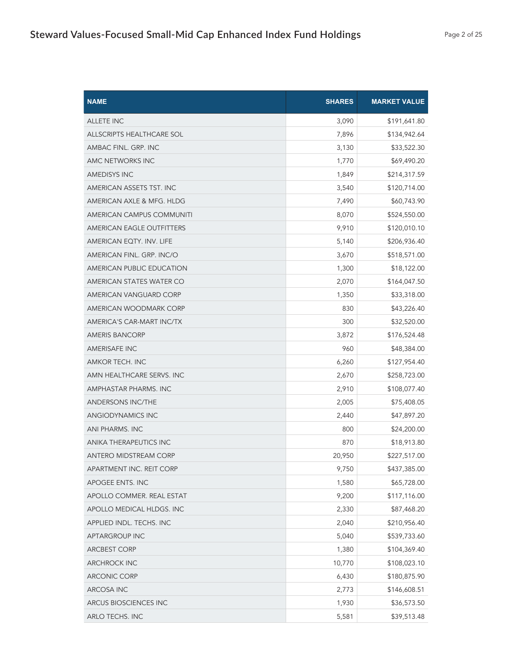| <b>NAME</b>               | <b>SHARES</b> | <b>MARKET VALUE</b> |
|---------------------------|---------------|---------------------|
| <b>ALLETE INC</b>         | 3,090         | \$191,641.80        |
| ALLSCRIPTS HEALTHCARE SOL | 7,896         | \$134,942.64        |
| AMBAC FINL. GRP. INC      | 3,130         | \$33,522.30         |
| AMC NETWORKS INC          | 1,770         | \$69,490.20         |
| <b>AMEDISYS INC</b>       | 1,849         | \$214,317.59        |
| AMERICAN ASSETS TST. INC  | 3,540         | \$120,714.00        |
| AMERICAN AXLE & MFG. HLDG | 7,490         | \$60,743.90         |
| AMERICAN CAMPUS COMMUNITI | 8,070         | \$524,550.00        |
| AMERICAN EAGLE OUTFITTERS | 9,910         | \$120,010.10        |
| AMERICAN EQTY. INV. LIFE  | 5,140         | \$206,936.40        |
| AMERICAN FINL. GRP. INC/O | 3,670         | \$518,571.00        |
| AMERICAN PUBLIC EDUCATION | 1,300         | \$18,122.00         |
| AMERICAN STATES WATER CO  | 2,070         | \$164,047.50        |
| AMERICAN VANGUARD CORP    | 1,350         | \$33,318.00         |
| AMERICAN WOODMARK CORP    | 830           | \$43,226.40         |
| AMERICA'S CAR-MART INC/TX | 300           | \$32,520.00         |
| <b>AMERIS BANCORP</b>     | 3,872         | \$176,524.48        |
| <b>AMERISAFE INC</b>      | 960           | \$48,384.00         |
| AMKOR TECH. INC           | 6,260         | \$127,954.40        |
| AMN HEALTHCARE SERVS. INC | 2,670         | \$258,723.00        |
| AMPHASTAR PHARMS. INC     | 2,910         | \$108,077.40        |
| <b>ANDERSONS INC/THE</b>  | 2,005         | \$75,408.05         |
| ANGIODYNAMICS INC         | 2,440         | \$47,897.20         |
| ANI PHARMS. INC           | 800           | \$24,200.00         |
| ANIKA THERAPEUTICS INC    | 870           | \$18,913.80         |
| ANTERO MIDSTREAM CORP     | 20,950        | \$227,517.00        |
| APARTMENT INC. REIT CORP  | 9,750         | \$437,385.00        |
| APOGEE ENTS. INC          | 1,580         | \$65,728.00         |
| APOLLO COMMER. REAL ESTAT | 9,200         | \$117,116.00        |
| APOLLO MEDICAL HLDGS. INC | 2,330         | \$87,468.20         |
| APPLIED INDL. TECHS. INC  | 2,040         | \$210,956.40        |
| APTARGROUP INC            | 5,040         | \$539,733.60        |
| <b>ARCBEST CORP</b>       | 1,380         | \$104,369.40        |
| <b>ARCHROCK INC</b>       | 10,770        | \$108,023.10        |
| <b>ARCONIC CORP</b>       | 6,430         | \$180,875.90        |
| ARCOSA INC                | 2,773         | \$146,608.51        |
| ARCUS BIOSCIENCES INC     | 1,930         | \$36,573.50         |
| ARLO TECHS. INC           | 5,581         | \$39,513.48         |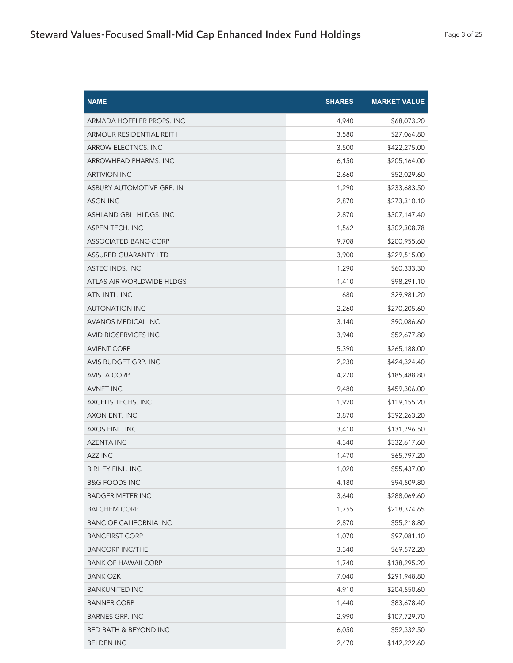| <b>NAME</b>                      | <b>SHARES</b> | <b>MARKET VALUE</b> |
|----------------------------------|---------------|---------------------|
| ARMADA HOFFLER PROPS. INC        | 4,940         | \$68,073.20         |
| ARMOUR RESIDENTIAL REIT I        | 3,580         | \$27,064.80         |
| ARROW ELECTNCS. INC              | 3,500         | \$422,275.00        |
| ARROWHEAD PHARMS. INC            | 6,150         | \$205,164.00        |
| <b>ARTIVION INC</b>              | 2,660         | \$52,029.60         |
| <b>ASBURY AUTOMOTIVE GRP. IN</b> | 1,290         | \$233,683.50        |
| ASGN INC                         | 2,870         | \$273,310.10        |
| ASHLAND GBL. HLDGS. INC          | 2,870         | \$307,147.40        |
| ASPEN TECH. INC                  | 1,562         | \$302,308.78        |
| ASSOCIATED BANC-CORP             | 9,708         | \$200,955.60        |
| <b>ASSURED GUARANTY LTD</b>      | 3,900         | \$229,515.00        |
| ASTEC INDS. INC                  | 1,290         | \$60,333.30         |
| ATLAS AIR WORLDWIDE HLDGS        | 1,410         | \$98,291.10         |
| ATN INTL. INC                    | 680           | \$29,981.20         |
| <b>AUTONATION INC</b>            | 2,260         | \$270,205.60        |
| <b>AVANOS MEDICAL INC</b>        | 3,140         | \$90,086.60         |
| <b>AVID BIOSERVICES INC</b>      | 3,940         | \$52,677.80         |
| <b>AVIENT CORP</b>               | 5,390         | \$265,188.00        |
| AVIS BUDGET GRP. INC             | 2,230         | \$424,324.40        |
| <b>AVISTA CORP</b>               | 4,270         | \$185,488.80        |
| <b>AVNET INC</b>                 | 9,480         | \$459,306.00        |
| AXCELIS TECHS. INC               | 1,920         | \$119,155.20        |
| AXON ENT. INC                    | 3,870         | \$392,263.20        |
| AXOS FINL. INC                   | 3,410         | \$131,796.50        |
| <b>AZENTA INC</b>                | 4,340         | \$332,617.60        |
| <b>AZZ INC</b>                   | 1,470         | \$65,797.20         |
| <b>B RILEY FINL. INC</b>         | 1,020         | \$55,437.00         |
| <b>B&amp;G FOODS INC</b>         | 4,180         | \$94,509.80         |
| <b>BADGER METER INC</b>          | 3,640         | \$288,069.60        |
| <b>BALCHEM CORP</b>              | 1,755         | \$218,374.65        |
| <b>BANC OF CALIFORNIA INC</b>    | 2,870         | \$55,218.80         |
| <b>BANCFIRST CORP</b>            | 1,070         | \$97,081.10         |
| <b>BANCORP INC/THE</b>           | 3,340         | \$69,572.20         |
| <b>BANK OF HAWAII CORP</b>       | 1,740         | \$138,295.20        |
| <b>BANK OZK</b>                  | 7,040         | \$291,948.80        |
| <b>BANKUNITED INC</b>            | 4,910         | \$204,550.60        |
| <b>BANNER CORP</b>               | 1,440         | \$83,678.40         |
| <b>BARNES GRP. INC</b>           | 2,990         | \$107,729.70        |
| BED BATH & BEYOND INC            | 6,050         | \$52,332.50         |
| <b>BELDEN INC</b>                | 2,470         | \$142,222.60        |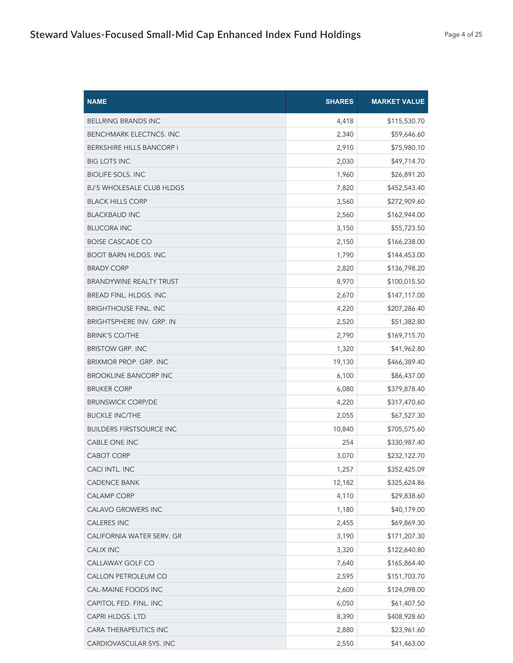| <b>NAME</b>                      | <b>SHARES</b> | <b>MARKET VALUE</b> |
|----------------------------------|---------------|---------------------|
| <b>BELLRING BRANDS INC</b>       | 4,418         | \$115,530.70        |
| <b>BENCHMARK ELECTNCS. INC</b>   | 2,340         | \$59,646.60         |
| <b>BERKSHIRE HILLS BANCORP I</b> | 2,910         | \$75,980.10         |
| <b>BIG LOTS INC</b>              | 2,030         | \$49,714.70         |
| <b>BIOLIFE SOLS. INC</b>         | 1,960         | \$26,891.20         |
| <b>BJ'S WHOLESALE CLUB HLDGS</b> | 7,820         | \$452,543.40        |
| <b>BLACK HILLS CORP</b>          | 3,560         | \$272,909.60        |
| <b>BLACKBAUD INC</b>             | 2,560         | \$162,944.00        |
| <b>BLUCORA INC</b>               | 3,150         | \$55,723.50         |
| <b>BOISE CASCADE CO</b>          | 2,150         | \$166,238.00        |
| <b>BOOT BARN HLDGS. INC</b>      | 1,790         | \$144,453.00        |
| <b>BRADY CORP</b>                | 2,820         | \$136,798.20        |
| <b>BRANDYWINE REALTY TRUST</b>   | 8,970         | \$100,015.50        |
| <b>BREAD FINL, HLDGS, INC.</b>   | 2,670         | \$147,117.00        |
| <b>BRIGHTHOUSE FINL. INC</b>     | 4,220         | \$207,286.40        |
| <b>BRIGHTSPHERE INV. GRP. IN</b> | 2,520         | \$51,382.80         |
| <b>BRINK'S CO/THE</b>            | 2,790         | \$169,715.70        |
| <b>BRISTOW GRP. INC</b>          | 1,320         | \$41,962.80         |
| BRIXMOR PROP. GRP. INC           | 19,130        | \$466,389.40        |
| <b>BROOKLINE BANCORP INC</b>     | 6,100         | \$86,437.00         |
| <b>BRUKER CORP</b>               | 6,080         | \$379,878.40        |
| <b>BRUNSWICK CORP/DE</b>         | 4,220         | \$317,470.60        |
| <b>BUCKLE INC/THE</b>            | 2,055         | \$67,527.30         |
| <b>BUILDERS FIRSTSOURCE INC</b>  | 10,840        | \$705,575.60        |
| CABLE ONE INC                    | 254           | \$330,987.40        |
| <b>CABOT CORP</b>                | 3,070         | \$232,122.70        |
| CACI INTL. INC                   | 1,257         | \$352,425.09        |
| <b>CADENCE BANK</b>              | 12,182        | \$325,624.86        |
| CALAMP CORP                      | 4,110         | \$29,838.60         |
| CALAVO GROWERS INC               | 1,180         | \$40,179.00         |
| <b>CALERES INC</b>               | 2,455         | \$69,869.30         |
| CALIFORNIA WATER SERV. GR        | 3,190         | \$171,207.30        |
| <b>CALIX INC</b>                 | 3,320         | \$122,640.80        |
| CALLAWAY GOLF CO                 | 7,640         | \$165,864.40        |
| CALLON PETROLEUM CO              | 2,595         | \$151,703.70        |
| CAL-MAINE FOODS INC              | 2,600         | \$124,098.00        |
| CAPITOL FED. FINL. INC           | 6,050         | \$61,407.50         |
| CAPRI HLDGS. LTD                 | 8,390         | \$408,928.60        |
| CARA THERAPEUTICS INC            | 2,880         | \$23,961.60         |
| CARDIOVASCULAR SYS. INC          | 2,550         | \$41,463.00         |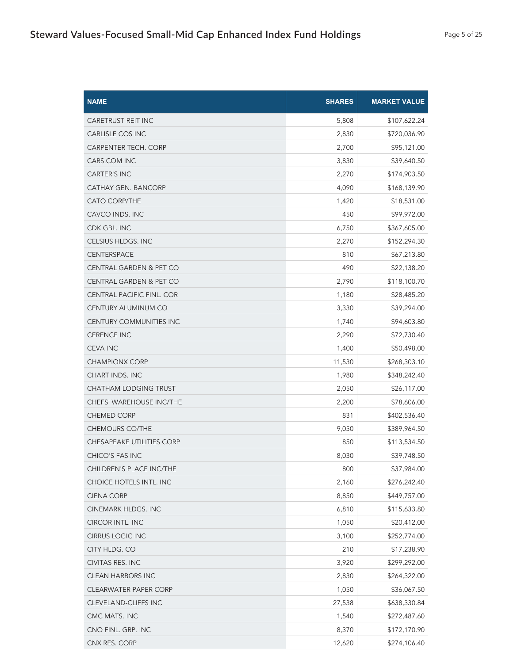| <b>NAME</b>                        | <b>SHARES</b> | <b>MARKET VALUE</b> |
|------------------------------------|---------------|---------------------|
| <b>CARETRUST REIT INC</b>          | 5,808         | \$107,622.24        |
| <b>CARLISLE COS INC</b>            | 2,830         | \$720,036.90        |
| CARPENTER TECH. CORP               | 2,700         | \$95,121.00         |
| CARS.COM INC                       | 3,830         | \$39,640.50         |
| <b>CARTER'S INC</b>                | 2,270         | \$174,903.50        |
| CATHAY GEN. BANCORP                | 4,090         | \$168,139.90        |
| <b>CATO CORP/THE</b>               | 1,420         | \$18,531.00         |
| CAVCO INDS. INC                    | 450           | \$99,972.00         |
| CDK GBL. INC                       | 6,750         | \$367,605.00        |
| CELSIUS HLDGS. INC                 | 2,270         | \$152,294.30        |
| <b>CENTERSPACE</b>                 | 810           | \$67,213.80         |
| <b>CENTRAL GARDEN &amp; PET CO</b> | 490           | \$22,138.20         |
| <b>CENTRAL GARDEN &amp; PET CO</b> | 2,790         | \$118,100.70        |
| <b>CENTRAL PACIFIC FINL. COR</b>   | 1,180         | \$28,485.20         |
| CENTURY ALUMINUM CO                | 3,330         | \$39,294.00         |
| CENTURY COMMUNITIES INC            | 1,740         | \$94,603.80         |
| <b>CERENCE INC</b>                 | 2,290         | \$72,730.40         |
| <b>CEVA INC</b>                    | 1,400         | \$50,498.00         |
| <b>CHAMPIONX CORP</b>              | 11,530        | \$268,303.10        |
| <b>CHART INDS. INC</b>             | 1,980         | \$348,242.40        |
| CHATHAM LODGING TRUST              | 2,050         | \$26,117.00         |
| CHEFS' WAREHOUSE INC/THE           | 2,200         | \$78,606.00         |
| <b>CHEMED CORP</b>                 | 831           | \$402,536.40        |
| <b>CHEMOURS CO/THE</b>             | 9,050         | \$389,964.50        |
| CHESAPEAKE UTILITIES CORP          | 850           | \$113,534.50        |
| CHICO'S FAS INC                    | 8,030         | \$39,748.50         |
| CHILDREN'S PLACE INC/THE           | 800           | \$37,984.00         |
| CHOICE HOTELS INTL. INC            | 2,160         | \$276,242.40        |
| <b>CIENA CORP</b>                  | 8,850         | \$449,757.00        |
| CINEMARK HLDGS. INC                | 6,810         | \$115,633.80        |
| <b>CIRCOR INTL. INC</b>            | 1,050         | \$20,412.00         |
| <b>CIRRUS LOGIC INC</b>            | 3,100         | \$252,774.00        |
| CITY HLDG. CO                      | 210           | \$17,238.90         |
| CIVITAS RES. INC                   | 3,920         | \$299,292.00        |
| <b>CLEAN HARBORS INC</b>           | 2,830         | \$264,322.00        |
| CLEARWATER PAPER CORP              | 1,050         | \$36,067.50         |
| <b>CLEVELAND-CLIFFS INC</b>        | 27,538        | \$638,330.84        |
| CMC MATS. INC                      | 1,540         | \$272,487.60        |
| CNO FINL. GRP. INC                 | 8,370         | \$172,170.90        |
| CNX RES. CORP                      | 12,620        | \$274,106.40        |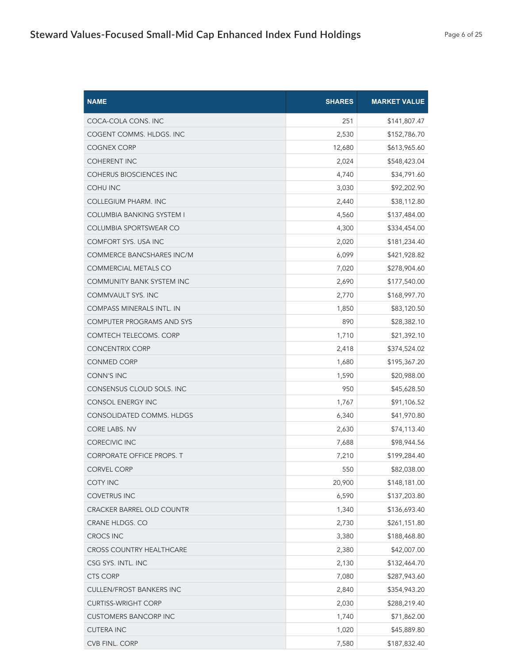| <b>NAME</b>                      | <b>SHARES</b> | <b>MARKET VALUE</b> |
|----------------------------------|---------------|---------------------|
| COCA-COLA CONS. INC              | 251           | \$141,807.47        |
| COGENT COMMS. HLDGS. INC         | 2,530         | \$152,786.70        |
| <b>COGNEX CORP</b>               | 12,680        | \$613,965.60        |
| <b>COHERENT INC</b>              | 2,024         | \$548,423.04        |
| <b>COHERUS BIOSCIENCES INC</b>   | 4,740         | \$34,791.60         |
| <b>COHU INC</b>                  | 3,030         | \$92,202.90         |
| COLLEGIUM PHARM. INC             | 2,440         | \$38,112.80         |
| <b>COLUMBIA BANKING SYSTEM I</b> | 4,560         | \$137,484.00        |
| COLUMBIA SPORTSWEAR CO           | 4,300         | \$334,454.00        |
| COMFORT SYS. USA INC             | 2,020         | \$181,234.40        |
| COMMERCE BANCSHARES INC/M        | 6,099         | \$421,928.82        |
| <b>COMMERCIAL METALS CO</b>      | 7,020         | \$278,904.60        |
| <b>COMMUNITY BANK SYSTEM INC</b> | 2,690         | \$177,540.00        |
| <b>COMMVAULT SYS. INC</b>        | 2,770         | \$168,997.70        |
| <b>COMPASS MINERALS INTL. IN</b> | 1,850         | \$83,120.50         |
| <b>COMPUTER PROGRAMS AND SYS</b> | 890           | \$28,382.10         |
| <b>COMTECH TELECOMS. CORP</b>    | 1,710         | \$21,392.10         |
| <b>CONCENTRIX CORP</b>           | 2,418         | \$374,524.02        |
| <b>CONMED CORP</b>               | 1,680         | \$195,367.20        |
| <b>CONN'S INC</b>                | 1,590         | \$20,988.00         |
| CONSENSUS CLOUD SOLS. INC        | 950           | \$45,628.50         |
| <b>CONSOL ENERGY INC</b>         | 1,767         | \$91,106.52         |
| CONSOLIDATED COMMS. HLDGS        | 6,340         | \$41,970.80         |
| <b>CORE LABS. NV</b>             | 2,630         | \$74,113.40         |
| <b>CORECIVIC INC</b>             | 7,688         | \$98,944.56         |
| <b>CORPORATE OFFICE PROPS. T</b> | 7,210         | \$199,284.40        |
| <b>CORVEL CORP</b>               | 550           | \$82,038.00         |
| <b>COTY INC</b>                  | 20,900        | \$148,181.00        |
| COVETRUS INC                     | 6,590         | \$137,203.80        |
| <b>CRACKER BARREL OLD COUNTR</b> | 1,340         | \$136,693.40        |
| CRANE HLDGS. CO                  | 2,730         | \$261,151.80        |
| <b>CROCS INC</b>                 | 3,380         | \$188,468.80        |
| CROSS COUNTRY HEALTHCARE         | 2,380         | \$42,007.00         |
| CSG SYS. INTL. INC               | 2,130         | \$132,464.70        |
| <b>CTS CORP</b>                  | 7,080         | \$287,943.60        |
| <b>CULLEN/FROST BANKERS INC</b>  | 2,840         | \$354,943.20        |
| <b>CURTISS-WRIGHT CORP</b>       | 2,030         | \$288,219.40        |
| <b>CUSTOMERS BANCORP INC</b>     | 1,740         | \$71,862.00         |
| <b>CUTERA INC</b>                | 1,020         | \$45,889.80         |
| CVB FINL. CORP                   | 7,580         | \$187,832.40        |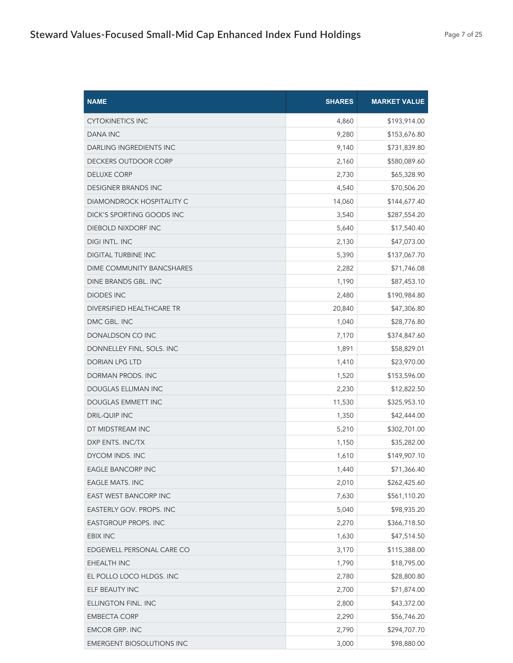| <b>NAME</b>                    | <b>SHARES</b> | <b>MARKET VALUE</b> |
|--------------------------------|---------------|---------------------|
| <b>CYTOKINETICS INC</b>        | 4,860         | \$193,914.00        |
| <b>DANA INC</b>                | 9,280         | \$153,676.80        |
| <b>DARLING INGREDIENTS INC</b> | 9,140         | \$731,839.80        |
| DECKERS OUTDOOR CORP           | 2,160         | \$580,089.60        |
| <b>DELUXE CORP</b>             | 2,730         | \$65,328.90         |
| <b>DESIGNER BRANDS INC</b>     | 4,540         | \$70,506.20         |
| DIAMONDROCK HOSPITALITY C      | 14,060        | \$144,677.40        |
| DICK'S SPORTING GOODS INC      | 3,540         | \$287,554.20        |
| DIEBOLD NIXDORF INC            | 5,640         | \$17,540.40         |
| DIGI INTL. INC                 | 2,130         | \$47,073.00         |
| <b>DIGITAL TURBINE INC</b>     | 5,390         | \$137,067.70        |
| DIME COMMUNITY BANCSHARES      | 2,282         | \$71,746.08         |
| DINE BRANDS GBL. INC           | 1,190         | \$87,453.10         |
| <b>DIODES INC</b>              | 2,480         | \$190,984.80        |
| DIVERSIFIED HEALTHCARE TR      | 20,840        | \$47,306.80         |
| DMC GBL. INC                   | 1,040         | \$28,776.80         |
| DONALDSON CO INC               | 7,170         | \$374,847.60        |
| DONNELLEY FINL. SOLS. INC      | 1,891         | \$58,829.01         |
| DORIAN LPG LTD                 | 1,410         | \$23,970.00         |
| DORMAN PRODS. INC              | 1,520         | \$153,596.00        |
| DOUGLAS ELLIMAN INC            | 2,230         | \$12,822.50         |
| DOUGLAS EMMETT INC             | 11,530        | \$325,953.10        |
| <b>DRIL-QUIP INC</b>           | 1,350         | \$42,444.00         |
| DT MIDSTREAM INC               | 5,210         | \$302,701.00        |
| DXP ENTS. INC/TX               | 1,150         | \$35,282.00         |
| DYCOM INDS. INC                | 1,610         | \$149,907.10        |
| EAGLE BANCORP INC              | 1,440         | \$71,366.40         |
| <b>EAGLE MATS. INC</b>         | 2,010         | \$262,425.60        |
| EAST WEST BANCORP INC          | 7,630         | \$561,110.20        |
| EASTERLY GOV. PROPS. INC       | 5,040         | \$98,935.20         |
| <b>EASTGROUP PROPS. INC</b>    | 2,270         | \$366,718.50        |
| <b>EBIX INC</b>                | 1,630         | \$47,514.50         |
| EDGEWELL PERSONAL CARE CO      | 3,170         | \$115,388.00        |
| EHEALTH INC                    | 1,790         | \$18,795.00         |
| EL POLLO LOCO HLDGS. INC       | 2,780         | \$28,800.80         |
| ELF BEAUTY INC                 | 2,700         | \$71,874.00         |
| ELLINGTON FINL. INC            | 2,800         | \$43,372.00         |
| <b>EMBECTA CORP</b>            | 2,290         | \$56,746.20         |
| <b>EMCOR GRP. INC</b>          | 2,790         | \$294,707.70        |
| EMERGENT BIOSOLUTIONS INC      | 3,000         | \$98,880.00         |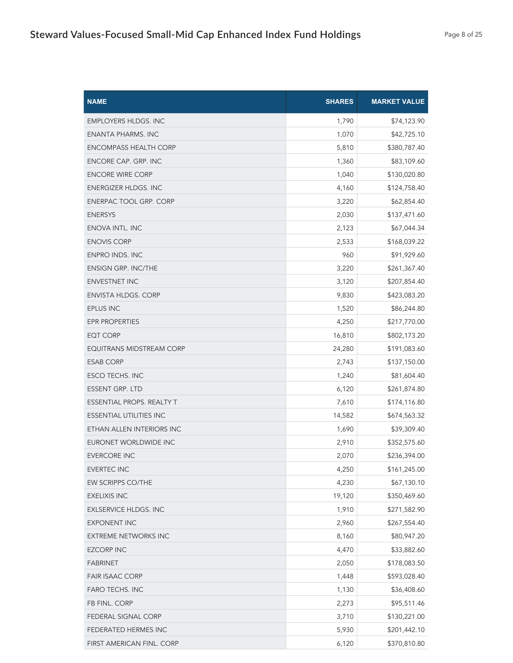| <b>NAME</b>                    | <b>SHARES</b> | <b>MARKET VALUE</b> |
|--------------------------------|---------------|---------------------|
| <b>EMPLOYERS HLDGS. INC</b>    | 1,790         | \$74,123.90         |
| <b>ENANTA PHARMS. INC</b>      | 1,070         | \$42,725.10         |
| <b>ENCOMPASS HEALTH CORP</b>   | 5,810         | \$380,787.40        |
| ENCORE CAP. GRP. INC           | 1,360         | \$83,109.60         |
| <b>ENCORE WIRE CORP</b>        | 1,040         | \$130,020.80        |
| ENERGIZER HLDGS. INC           | 4,160         | \$124,758.40        |
| ENERPAC TOOL GRP. CORP         | 3,220         | \$62,854.40         |
| <b>ENERSYS</b>                 | 2,030         | \$137,471.60        |
| ENOVA INTL. INC                | 2,123         | \$67,044.34         |
| <b>ENOVIS CORP</b>             | 2,533         | \$168,039.22        |
| <b>ENPRO INDS. INC</b>         | 960           | \$91,929.60         |
| <b>ENSIGN GRP. INC/THE</b>     | 3,220         | \$261,367.40        |
| <b>ENVESTNET INC</b>           | 3,120         | \$207,854.40        |
| <b>ENVISTA HLDGS. CORP</b>     | 9,830         | \$423,083.20        |
| EPLUS INC                      | 1,520         | \$86,244.80         |
| <b>EPR PROPERTIES</b>          | 4,250         | \$217,770.00        |
| <b>EQT CORP</b>                | 16,810        | \$802,173.20        |
| EQUITRANS MIDSTREAM CORP       | 24,280        | \$191,083.60        |
| <b>ESAB CORP</b>               | 2,743         | \$137,150.00        |
| ESCO TECHS. INC                | 1,240         | \$81,604.40         |
| ESSENT GRP. LTD                | 6,120         | \$261,874.80        |
| ESSENTIAL PROPS. REALTY T      | 7,610         | \$174,116.80        |
| <b>ESSENTIAL UTILITIES INC</b> | 14,582        | \$674,563.32        |
| ETHAN ALLEN INTERIORS INC      | 1,690         | \$39,309.40         |
| EURONET WORLDWIDE INC          | 2,910         | \$352,575.60        |
| <b>EVERCORE INC</b>            | 2,070         | \$236,394.00        |
| <b>EVERTEC INC</b>             | 4,250         | \$161,245.00        |
| EW SCRIPPS CO/THE              | 4,230         | \$67,130.10         |
| <b>EXELIXIS INC</b>            | 19,120        | \$350,469.60        |
| <b>EXLSERVICE HLDGS. INC</b>   | 1,910         | \$271,582.90        |
| <b>EXPONENT INC</b>            | 2,960         | \$267,554.40        |
| <b>EXTREME NETWORKS INC</b>    | 8,160         | \$80,947.20         |
| <b>EZCORP INC</b>              | 4,470         | \$33,882.60         |
| <b>FABRINET</b>                | 2,050         | \$178,083.50        |
| <b>FAIR ISAAC CORP</b>         | 1,448         | \$593,028.40        |
| <b>FARO TECHS. INC</b>         | 1,130         | \$36,408.60         |
| FB FINL. CORP                  | 2,273         | \$95,511.46         |
| FEDERAL SIGNAL CORP            | 3,710         | \$130,221.00        |
| FEDERATED HERMES INC           | 5,930         | \$201,442.10        |
| FIRST AMERICAN FINL. CORP      | 6,120         | \$370,810.80        |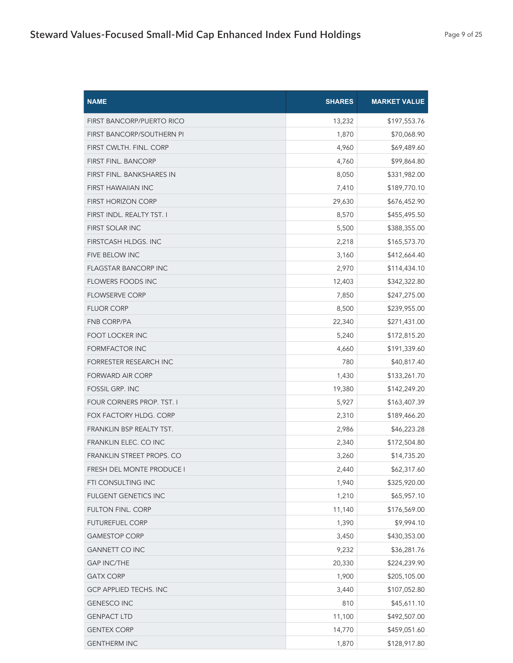| <b>NAME</b>                      | <b>SHARES</b> | <b>MARKET VALUE</b> |
|----------------------------------|---------------|---------------------|
| <b>FIRST BANCORP/PUERTO RICO</b> | 13,232        | \$197,553.76        |
| FIRST BANCORP/SOUTHERN PI        | 1,870         | \$70,068.90         |
| FIRST CWLTH. FINL. CORP          | 4,960         | \$69,489.60         |
| <b>FIRST FINL. BANCORP</b>       | 4,760         | \$99,864.80         |
| FIRST FINL. BANKSHARES IN        | 8,050         | \$331,982.00        |
| FIRST HAWAIIAN INC               | 7,410         | \$189,770.10        |
| <b>FIRST HORIZON CORP</b>        | 29,630        | \$676,452.90        |
| FIRST INDL. REALTY TST. I        | 8,570         | \$455,495.50        |
| FIRST SOLAR INC                  | 5,500         | \$388,355.00        |
| FIRSTCASH HLDGS. INC             | 2,218         | \$165,573.70        |
| <b>FIVE BELOW INC</b>            | 3,160         | \$412,664.40        |
| <b>FLAGSTAR BANCORP INC</b>      | 2,970         | \$114,434.10        |
| <b>FLOWERS FOODS INC</b>         | 12,403        | \$342,322.80        |
| <b>FLOWSERVE CORP</b>            | 7,850         | \$247,275.00        |
| <b>FLUOR CORP</b>                | 8,500         | \$239,955.00        |
| <b>FNB CORP/PA</b>               | 22,340        | \$271,431.00        |
| FOOT LOCKER INC                  | 5,240         | \$172,815.20        |
| FORMFACTOR INC                   | 4,660         | \$191,339.60        |
| FORRESTER RESEARCH INC           | 780           | \$40,817.40         |
| <b>FORWARD AIR CORP</b>          | 1,430         | \$133,261.70        |
| <b>FOSSIL GRP. INC</b>           | 19,380        | \$142,249.20        |
| FOUR CORNERS PROP. TST. I        | 5,927         | \$163,407.39        |
| FOX FACTORY HLDG. CORP           | 2,310         | \$189,466.20        |
| FRANKLIN BSP REALTY TST.         | 2,986         | \$46,223.28         |
| FRANKLIN ELEC. CO INC            | 2,340         | \$172,504.80        |
| FRANKLIN STREET PROPS. CO        | 3,260         | \$14,735.20         |
| FRESH DEL MONTE PRODUCE I        | 2,440         | \$62,317.60         |
| FTI CONSULTING INC               | 1,940         | \$325,920.00        |
| <b>FULGENT GENETICS INC</b>      | 1,210         | \$65,957.10         |
| FULTON FINL. CORP                | 11,140        | \$176,569.00        |
| <b>FUTUREFUEL CORP</b>           | 1,390         | \$9,994.10          |
| <b>GAMESTOP CORP</b>             | 3,450         | \$430,353.00        |
| <b>GANNETT CO INC</b>            | 9,232         | \$36,281.76         |
| <b>GAP INC/THE</b>               | 20,330        | \$224,239.90        |
| <b>GATX CORP</b>                 | 1,900         | \$205,105.00        |
| GCP APPLIED TECHS. INC           | 3,440         | \$107,052.80        |
| <b>GENESCO INC</b>               | 810           | \$45,611.10         |
| <b>GENPACT LTD</b>               | 11,100        | \$492,507.00        |
| <b>GENTEX CORP</b>               | 14,770        | \$459,051.60        |
| <b>GENTHERM INC</b>              | 1,870         | \$128,917.80        |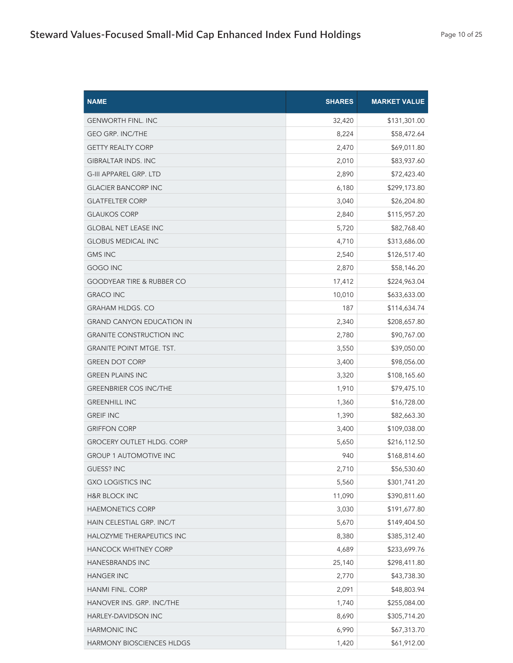| <b>NAME</b>                          | <b>SHARES</b> | <b>MARKET VALUE</b> |
|--------------------------------------|---------------|---------------------|
| <b>GENWORTH FINL. INC</b>            | 32,420        | \$131,301.00        |
| <b>GEO GRP. INC/THE</b>              | 8,224         | \$58,472.64         |
| <b>GETTY REALTY CORP</b>             | 2,470         | \$69,011.80         |
| <b>GIBRALTAR INDS. INC</b>           | 2,010         | \$83,937.60         |
| <b>G-III APPAREL GRP. LTD</b>        | 2,890         | \$72,423.40         |
| <b>GLACIER BANCORP INC</b>           | 6,180         | \$299,173.80        |
| <b>GLATFELTER CORP</b>               | 3,040         | \$26,204.80         |
| <b>GLAUKOS CORP</b>                  | 2,840         | \$115,957.20        |
| <b>GLOBAL NET LEASE INC</b>          | 5,720         | \$82,768.40         |
| <b>GLOBUS MEDICAL INC</b>            | 4,710         | \$313,686.00        |
| <b>GMS INC</b>                       | 2,540         | \$126,517.40        |
| <b>GOGO INC</b>                      | 2,870         | \$58,146.20         |
| <b>GOODYEAR TIRE &amp; RUBBER CO</b> | 17,412        | \$224,963.04        |
| <b>GRACO INC</b>                     | 10,010        | \$633,633.00        |
| <b>GRAHAM HLDGS. CO</b>              | 187           | \$114,634.74        |
| <b>GRAND CANYON EDUCATION IN</b>     | 2,340         | \$208,657.80        |
| <b>GRANITE CONSTRUCTION INC</b>      | 2,780         | \$90,767.00         |
| <b>GRANITE POINT MTGE. TST.</b>      | 3,550         | \$39,050.00         |
| <b>GREEN DOT CORP</b>                | 3,400         | \$98,056.00         |
| <b>GREEN PLAINS INC</b>              | 3,320         | \$108,165.60        |
| <b>GREENBRIER COS INC/THE</b>        | 1,910         | \$79,475.10         |
| <b>GREENHILL INC</b>                 | 1,360         | \$16,728.00         |
| <b>GREIF INC</b>                     | 1,390         | \$82,663.30         |
| <b>GRIFFON CORP</b>                  | 3,400         | \$109,038.00        |
| <b>GROCERY OUTLET HLDG. CORP</b>     | 5,650         | \$216,112.50        |
| <b>GROUP 1 AUTOMOTIVE INC</b>        | 940           | \$168,814.60        |
| GUESS? INC                           | 2,710         | \$56,530.60         |
| <b>GXO LOGISTICS INC</b>             | 5,560         | \$301,741.20        |
| <b>H&amp;R BLOCK INC</b>             | 11,090        | \$390,811.60        |
| <b>HAEMONETICS CORP</b>              | 3,030         | \$191,677.80        |
| HAIN CELESTIAL GRP. INC/T            | 5,670         | \$149,404.50        |
| HALOZYME THERAPEUTICS INC            | 8,380         | \$385,312.40        |
| HANCOCK WHITNEY CORP                 | 4,689         | \$233,699.76        |
| <b>HANESBRANDS INC</b>               | 25,140        | \$298,411.80        |
| <b>HANGER INC</b>                    | 2,770         | \$43,738.30         |
| HANMI FINL. CORP                     | 2,091         | \$48,803.94         |
| HANOVER INS. GRP. INC/THE            | 1,740         | \$255,084.00        |
| HARLEY-DAVIDSON INC                  | 8,690         | \$305,714.20        |
| HARMONIC INC                         | 6,990         | \$67,313.70         |
| HARMONY BIOSCIENCES HLDGS            | 1,420         | \$61,912.00         |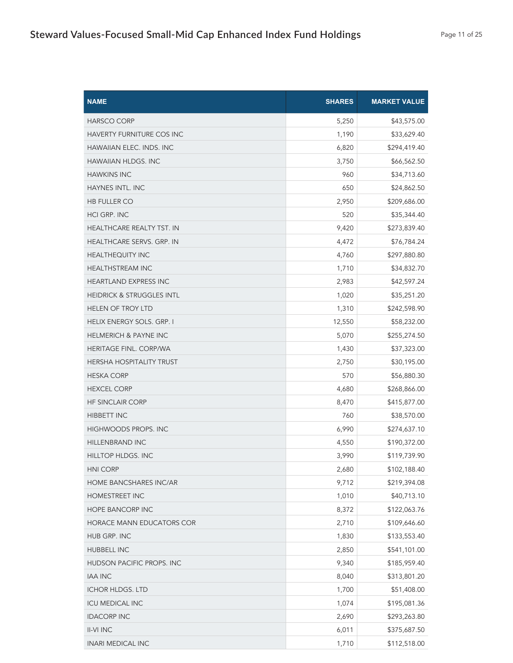| <b>NAME</b>                          | <b>SHARES</b> | <b>MARKET VALUE</b> |
|--------------------------------------|---------------|---------------------|
| <b>HARSCO CORP</b>                   | 5,250         | \$43,575.00         |
| <b>HAVERTY FURNITURE COS INC</b>     | 1,190         | \$33,629.40         |
| <b>HAWAIIAN ELEC. INDS. INC</b>      | 6,820         | \$294,419.40        |
| <b>HAWAIIAN HLDGS. INC</b>           | 3,750         | \$66,562.50         |
| <b>HAWKINS INC</b>                   | 960           | \$34,713.60         |
| HAYNES INTL. INC                     | 650           | \$24,862.50         |
| <b>HB FULLER CO</b>                  | 2,950         | \$209,686.00        |
| <b>HCI GRP. INC</b>                  | 520           | \$35,344.40         |
| HEALTHCARE REALTY TST. IN            | 9,420         | \$273,839.40        |
| HEALTHCARE SERVS. GRP. IN            | 4,472         | \$76,784.24         |
| <b>HEALTHEQUITY INC</b>              | 4,760         | \$297,880.80        |
| <b>HEALTHSTREAM INC</b>              | 1,710         | \$34,832.70         |
| <b>HEARTLAND EXPRESS INC</b>         | 2,983         | \$42,597.24         |
| <b>HEIDRICK &amp; STRUGGLES INTL</b> | 1,020         | \$35,251.20         |
| <b>HELEN OF TROY LTD</b>             | 1,310         | \$242,598.90        |
| HELIX ENERGY SOLS. GRP. I            | 12,550        | \$58,232.00         |
| <b>HELMERICH &amp; PAYNE INC</b>     | 5,070         | \$255,274.50        |
| HERITAGE FINL. CORP/WA               | 1,430         | \$37,323.00         |
| HERSHA HOSPITALITY TRUST             | 2,750         | \$30,195.00         |
| <b>HESKA CORP</b>                    | 570           | \$56,880.30         |
| <b>HEXCEL CORP</b>                   | 4,680         | \$268,866.00        |
| <b>HF SINCLAIR CORP</b>              | 8,470         | \$415,877.00        |
| <b>HIBBETT INC</b>                   | 760           | \$38,570.00         |
| <b>HIGHWOODS PROPS. INC</b>          | 6,990         | \$274,637.10        |
| <b>HILLENBRAND INC</b>               | 4,550         | \$190,372.00        |
| HILLTOP HLDGS. INC                   | 3,990         | \$119,739.90        |
| <b>HNI CORP</b>                      | 2,680         | \$102,188.40        |
| HOME BANCSHARES INC/AR               | 9,712         | \$219,394.08        |
| HOMESTREET INC                       | 1,010         | \$40,713.10         |
| <b>HOPE BANCORP INC</b>              | 8,372         | \$122,063.76        |
| HORACE MANN EDUCATORS COR            | 2,710         | \$109,646.60        |
| HUB GRP. INC                         | 1,830         | \$133,553.40        |
| HUBBELL INC                          | 2,850         | \$541,101.00        |
| HUDSON PACIFIC PROPS. INC            | 9,340         | \$185,959.40        |
| <b>IAA INC</b>                       | 8,040         | \$313,801.20        |
| <b>ICHOR HLDGS. LTD</b>              | 1,700         | \$51,408.00         |
| <b>ICU MEDICAL INC</b>               | 1,074         | \$195,081.36        |
| <b>IDACORP INC</b>                   | 2,690         | \$293,263.80        |
| <b>II-VI INC</b>                     | 6,011         | \$375,687.50        |
| INARI MEDICAL INC                    | 1,710         | \$112,518.00        |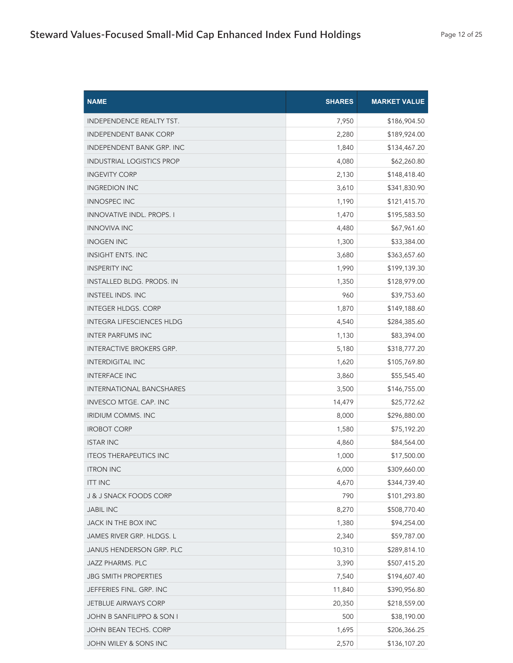| <b>NAME</b>                      | <b>SHARES</b> | <b>MARKET VALUE</b> |
|----------------------------------|---------------|---------------------|
| INDEPENDENCE REALTY TST.         | 7,950         | \$186,904.50        |
| <b>INDEPENDENT BANK CORP</b>     | 2,280         | \$189,924.00        |
| <b>INDEPENDENT BANK GRP. INC</b> | 1,840         | \$134,467.20        |
| <b>INDUSTRIAL LOGISTICS PROP</b> | 4,080         | \$62,260.80         |
| <b>INGEVITY CORP</b>             | 2,130         | \$148,418.40        |
| <b>INGREDION INC</b>             | 3,610         | \$341,830.90        |
| <b>INNOSPEC INC</b>              | 1,190         | \$121,415.70        |
| <b>INNOVATIVE INDL. PROPS. I</b> | 1,470         | \$195,583.50        |
| <b>INNOVIVA INC</b>              | 4,480         | \$67,961.60         |
| <b>INOGEN INC</b>                | 1,300         | \$33,384.00         |
| <b>INSIGHT ENTS. INC</b>         | 3,680         | \$363,657.60        |
| <b>INSPERITY INC</b>             | 1,990         | \$199,139.30        |
| INSTALLED BLDG. PRODS. IN        | 1,350         | \$128,979.00        |
| <b>INSTEEL INDS. INC</b>         | 960           | \$39,753.60         |
| <b>INTEGER HLDGS. CORP</b>       | 1,870         | \$149,188.60        |
| <b>INTEGRA LIFESCIENCES HLDG</b> | 4,540         | \$284,385.60        |
| <b>INTER PARFUMS INC</b>         | 1,130         | \$83,394.00         |
| <b>INTERACTIVE BROKERS GRP.</b>  | 5,180         | \$318,777.20        |
| <b>INTERDIGITAL INC</b>          | 1,620         | \$105,769.80        |
| <b>INTERFACE INC</b>             | 3,860         | \$55,545.40         |
| <b>INTERNATIONAL BANCSHARES</b>  | 3,500         | \$146,755.00        |
| INVESCO MTGE. CAP. INC           | 14,479        | \$25,772.62         |
| <b>IRIDIUM COMMS. INC</b>        | 8,000         | \$296,880.00        |
| <b>IROBOT CORP</b>               | 1,580         | \$75,192.20         |
| <b>ISTAR INC</b>                 | 4,860         | \$84,564.00         |
| <b>ITEOS THERAPEUTICS INC</b>    | 1,000         | \$17,500.00         |
| <b>ITRON INC</b>                 | 6,000         | \$309,660.00        |
| <b>ITT INC</b>                   | 4,670         | \$344,739.40        |
| J & J SNACK FOODS CORP           | 790           | \$101,293.80        |
| <b>JABIL INC</b>                 | 8,270         | \$508,770.40        |
| JACK IN THE BOX INC              | 1,380         | \$94,254.00         |
| JAMES RIVER GRP. HLDGS. L        | 2,340         | \$59,787.00         |
| JANUS HENDERSON GRP. PLC         | 10,310        | \$289,814.10        |
| JAZZ PHARMS. PLC                 | 3,390         | \$507,415.20        |
| <b>JBG SMITH PROPERTIES</b>      | 7,540         | \$194,607.40        |
| JEFFERIES FINL. GRP. INC         | 11,840        | \$390,956.80        |
| <b>JETBLUE AIRWAYS CORP</b>      | 20,350        | \$218,559.00        |
| JOHN B SANFILIPPO & SON I        | 500           | \$38,190.00         |
| JOHN BEAN TECHS. CORP            | 1,695         | \$206,366.25        |
| JOHN WILEY & SONS INC            | 2,570         | \$136,107.20        |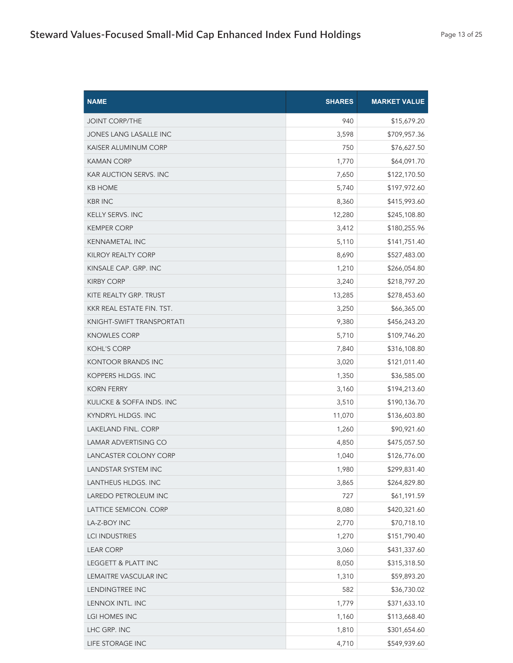| <b>NAME</b>                   | <b>SHARES</b> | <b>MARKET VALUE</b> |
|-------------------------------|---------------|---------------------|
| <b>JOINT CORP/THE</b>         | 940           | \$15,679.20         |
| <b>JONES LANG LASALLE INC</b> | 3,598         | \$709,957.36        |
| KAISER ALUMINUM CORP          | 750           | \$76,627.50         |
| <b>KAMAN CORP</b>             | 1,770         | \$64,091.70         |
| <b>KAR AUCTION SERVS. INC</b> | 7,650         | \$122,170.50        |
| <b>KB HOME</b>                | 5,740         | \$197,972.60        |
| <b>KBR INC</b>                | 8,360         | \$415,993.60        |
| <b>KELLY SERVS. INC</b>       | 12,280        | \$245,108.80        |
| <b>KEMPER CORP</b>            | 3,412         | \$180,255.96        |
| <b>KENNAMETAL INC</b>         | 5,110         | \$141,751.40        |
| <b>KILROY REALTY CORP</b>     | 8,690         | \$527,483.00        |
| KINSALE CAP. GRP. INC         | 1,210         | \$266,054.80        |
| <b>KIRBY CORP</b>             | 3,240         | \$218,797.20        |
| KITE REALTY GRP. TRUST        | 13,285        | \$278,453.60        |
| KKR REAL ESTATE FIN. TST.     | 3,250         | \$66,365.00         |
| KNIGHT-SWIFT TRANSPORTATI     | 9,380         | \$456,243.20        |
| <b>KNOWLES CORP</b>           | 5,710         | \$109,746.20        |
| <b>KOHL'S CORP</b>            | 7,840         | \$316,108.80        |
| KONTOOR BRANDS INC            | 3,020         | \$121,011.40        |
| KOPPERS HLDGS. INC            | 1,350         | \$36,585.00         |
| <b>KORN FERRY</b>             | 3,160         | \$194,213.60        |
| KULICKE & SOFFA INDS. INC     | 3,510         | \$190,136.70        |
| KYNDRYL HLDGS. INC            | 11,070        | \$136,603.80        |
| <b>LAKELAND FINL, CORP</b>    | 1,260         | \$90,921.60         |
| <b>LAMAR ADVERTISING CO</b>   | 4,850         | \$475,057.50        |
| LANCASTER COLONY CORP         | 1,040         | \$126,776.00        |
| LANDSTAR SYSTEM INC           | 1,980         | \$299,831.40        |
| LANTHEUS HLDGS. INC           | 3,865         | \$264,829.80        |
| LAREDO PETROLEUM INC          | 727           | \$61,191.59         |
| LATTICE SEMICON. CORP         | 8,080         | \$420,321.60        |
| LA-Z-BOY INC                  | 2,770         | \$70,718.10         |
| <b>LCI INDUSTRIES</b>         | 1,270         | \$151,790.40        |
| <b>LEAR CORP</b>              | 3,060         | \$431,337.60        |
| LEGGETT & PLATT INC           | 8,050         | \$315,318.50        |
| LEMAITRE VASCULAR INC         | 1,310         | \$59,893.20         |
| LENDINGTREE INC               | 582           | \$36,730.02         |
| LENNOX INTL. INC              | 1,779         | \$371,633.10        |
| LGI HOMES INC                 | 1,160         | \$113,668.40        |
| LHC GRP. INC                  | 1,810         | \$301,654.60        |
| LIFE STORAGE INC              | 4,710         | \$549,939.60        |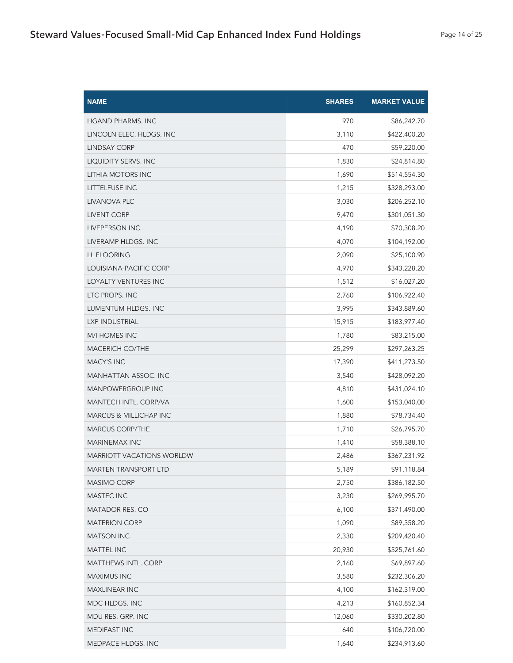| <b>NAME</b>                      | <b>SHARES</b> | <b>MARKET VALUE</b> |
|----------------------------------|---------------|---------------------|
| LIGAND PHARMS. INC               | 970           | \$86,242.70         |
| LINCOLN ELEC. HLDGS. INC         | 3,110         | \$422,400.20        |
| LINDSAY CORP                     | 470           | \$59,220.00         |
| LIQUIDITY SERVS. INC             | 1,830         | \$24,814.80         |
| <b>LITHIA MOTORS INC</b>         | 1,690         | \$514,554.30        |
| LITTELFUSE INC                   | 1,215         | \$328,293.00        |
| LIVANOVA PLC                     | 3,030         | \$206,252.10        |
| <b>LIVENT CORP</b>               | 9,470         | \$301,051.30        |
| <b>LIVEPERSON INC</b>            | 4,190         | \$70,308.20         |
| LIVERAMP HLDGS. INC              | 4,070         | \$104,192.00        |
| LL FLOORING                      | 2,090         | \$25,100.90         |
| LOUISIANA-PACIFIC CORP           | 4,970         | \$343,228.20        |
| LOYALTY VENTURES INC             | 1,512         | \$16,027.20         |
| LTC PROPS. INC                   | 2,760         | \$106,922.40        |
| LUMENTUM HLDGS. INC              | 3,995         | \$343,889.60        |
| LXP INDUSTRIAL                   | 15,915        | \$183,977.40        |
| <b>M/I HOMES INC</b>             | 1,780         | \$83,215.00         |
| <b>MACERICH CO/THE</b>           | 25,299        | \$297,263.25        |
| <b>MACY'S INC</b>                | 17,390        | \$411,273.50        |
| <b>MANHATTAN ASSOC. INC</b>      | 3,540         | \$428,092.20        |
| <b>MANPOWERGROUP INC</b>         | 4,810         | \$431,024.10        |
| MANTECH INTL. CORP/VA            | 1,600         | \$153,040.00        |
| MARCUS & MILLICHAP INC           | 1,880         | \$78,734.40         |
| <b>MARCUS CORP/THE</b>           | 1,710         | \$26,795.70         |
| <b>MARINEMAX INC</b>             | 1,410         | \$58,388.10         |
| <b>MARRIOTT VACATIONS WORLDW</b> | 2,486         | \$367,231.92        |
| MARTEN TRANSPORT LTD             | 5,189         | \$91,118.84         |
| <b>MASIMO CORP</b>               | 2,750         | \$386,182.50        |
| MASTEC INC                       | 3,230         | \$269,995.70        |
| MATADOR RES. CO                  | 6,100         | \$371,490.00        |
| <b>MATERION CORP</b>             | 1,090         | \$89,358.20         |
| <b>MATSON INC</b>                | 2,330         | \$209,420.40        |
| <b>MATTEL INC</b>                | 20,930        | \$525,761.60        |
| <b>MATTHEWS INTL. CORP</b>       | 2,160         | \$69,897.60         |
| MAXIMUS INC                      | 3,580         | \$232,306.20        |
| <b>MAXLINEAR INC</b>             | 4,100         | \$162,319.00        |
| MDC HLDGS. INC                   | 4,213         | \$160,852.34        |
| MDU RES. GRP. INC                | 12,060        | \$330,202.80        |
| MEDIFAST INC                     | 640           | \$106,720.00        |
| MEDPACE HLDGS. INC               | 1,640         | \$234,913.60        |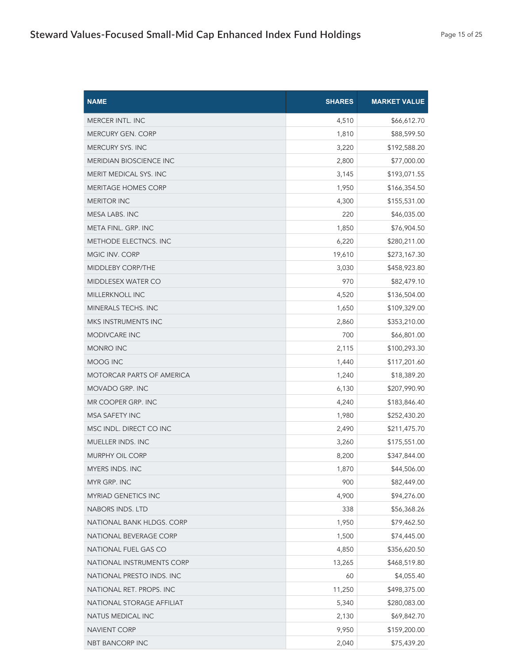| <b>NAME</b>                      | <b>SHARES</b> | <b>MARKET VALUE</b> |
|----------------------------------|---------------|---------------------|
| MERCER INTL. INC                 | 4,510         | \$66,612.70         |
| <b>MERCURY GEN. CORP</b>         | 1,810         | \$88,599.50         |
| <b>MERCURY SYS. INC</b>          | 3,220         | \$192,588.20        |
| <b>MERIDIAN BIOSCIENCE INC</b>   | 2,800         | \$77,000.00         |
| MERIT MEDICAL SYS. INC           | 3,145         | \$193,071.55        |
| <b>MERITAGE HOMES CORP</b>       | 1,950         | \$166,354.50        |
| <b>MERITOR INC</b>               | 4,300         | \$155,531.00        |
| MESA LABS. INC                   | 220           | \$46,035.00         |
| META FINL. GRP. INC              | 1,850         | \$76,904.50         |
| METHODE ELECTNCS. INC            | 6,220         | \$280,211.00        |
| MGIC INV. CORP                   | 19,610        | \$273,167.30        |
| MIDDLEBY CORP/THE                | 3,030         | \$458,923.80        |
| MIDDLESEX WATER CO               | 970           | \$82,479.10         |
| MILLERKNOLL INC                  | 4,520         | \$136,504.00        |
| <b>MINERALS TECHS. INC</b>       | 1,650         | \$109,329.00        |
| MKS INSTRUMENTS INC              | 2,860         | \$353,210.00        |
| <b>MODIVCARE INC</b>             | 700           | \$66,801.00         |
| <b>MONRO INC</b>                 | 2,115         | \$100,293.30        |
| MOOG INC                         | 1,440         | \$117,201.60        |
| <b>MOTORCAR PARTS OF AMERICA</b> | 1,240         | \$18,389.20         |
| MOVADO GRP. INC                  | 6,130         | \$207,990.90        |
| MR COOPER GRP. INC               | 4,240         | \$183,846.40        |
| <b>MSA SAFETY INC</b>            | 1,980         | \$252,430.20        |
| MSC INDL. DIRECT CO INC          | 2,490         | \$211,475.70        |
| MUELLER INDS. INC                | 3,260         | \$175,551.00        |
| <b>MURPHY OIL CORP</b>           | 8,200         | \$347,844.00        |
| MYERS INDS. INC                  | 1,870         | \$44,506.00         |
| MYR GRP. INC                     | 900           | \$82,449.00         |
| <b>MYRIAD GENETICS INC</b>       | 4,900         | \$94,276.00         |
| NABORS INDS. LTD                 | 338           | \$56,368.26         |
| NATIONAL BANK HLDGS. CORP        | 1,950         | \$79,462.50         |
| NATIONAL BEVERAGE CORP           | 1,500         | \$74,445.00         |
| NATIONAL FUEL GAS CO             | 4,850         | \$356,620.50        |
| NATIONAL INSTRUMENTS CORP        | 13,265        | \$468,519.80        |
| NATIONAL PRESTO INDS. INC        | 60            | \$4,055.40          |
| NATIONAL RET. PROPS. INC         | 11,250        | \$498,375.00        |
| NATIONAL STORAGE AFFILIAT        | 5,340         | \$280,083.00        |
| NATUS MEDICAL INC                | 2,130         | \$69,842.70         |
| NAVIENT CORP                     | 9,950         | \$159,200.00        |
| NBT BANCORP INC                  | 2,040         | \$75,439.20         |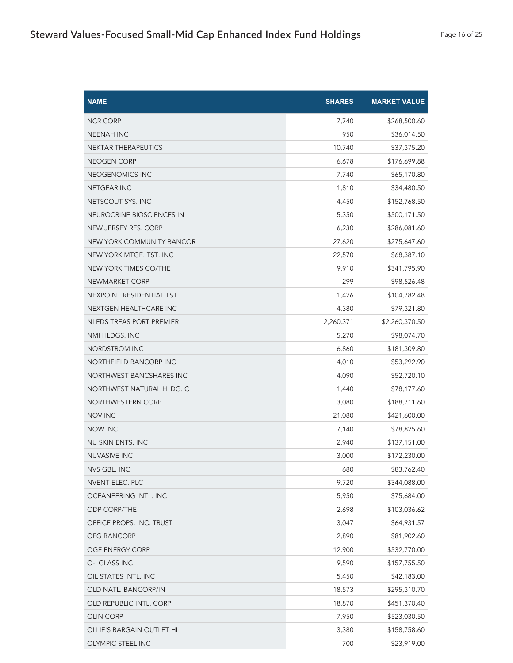| <b>NAME</b>               | <b>SHARES</b> | <b>MARKET VALUE</b> |
|---------------------------|---------------|---------------------|
| <b>NCR CORP</b>           | 7,740         | \$268,500.60        |
| <b>NEENAH INC</b>         | 950           | \$36,014.50         |
| NEKTAR THERAPEUTICS       | 10,740        | \$37,375.20         |
| NEOGEN CORP               | 6,678         | \$176,699.88        |
| NEOGENOMICS INC           | 7,740         | \$65,170.80         |
| <b>NETGEAR INC</b>        | 1,810         | \$34,480.50         |
| NETSCOUT SYS. INC         | 4,450         | \$152,768.50        |
| NEUROCRINE BIOSCIENCES IN | 5,350         | \$500,171.50        |
| NEW JERSEY RES. CORP      | 6,230         | \$286,081.60        |
| NEW YORK COMMUNITY BANCOR | 27,620        | \$275,647.60        |
| NEW YORK MTGE. TST. INC   | 22,570        | \$68,387.10         |
| NEW YORK TIMES CO/THE     | 9,910         | \$341,795.90        |
| NEWMARKET CORP            | 299           | \$98,526.48         |
| NEXPOINT RESIDENTIAL TST. | 1,426         | \$104,782.48        |
| NEXTGEN HEALTHCARE INC    | 4,380         | \$79,321.80         |
| NI FDS TREAS PORT PREMIER | 2,260,371     | \$2,260,370.50      |
| NMI HLDGS. INC            | 5,270         | \$98,074.70         |
| NORDSTROM INC             | 6,860         | \$181,309.80        |
| NORTHFIELD BANCORP INC    | 4,010         | \$53,292.90         |
| NORTHWEST BANCSHARES INC  | 4,090         | \$52,720.10         |
| NORTHWEST NATURAL HLDG. C | 1,440         | \$78,177.60         |
| NORTHWESTERN CORP         | 3,080         | \$188,711.60        |
| <b>NOV INC</b>            | 21,080        | \$421,600.00        |
| <b>NOW INC</b>            | 7,140         | \$78,825.60         |
| NU SKIN ENTS. INC         | 2,940         | \$137,151.00        |
| <b>NUVASIVE INC</b>       | 3,000         | \$172,230.00        |
| NV5 GBL. INC              | 680           | \$83,762.40         |
| NVENT ELEC. PLC           | 9,720         | \$344,088.00        |
| OCEANEERING INTL. INC     | 5,950         | \$75,684.00         |
| <b>ODP CORP/THE</b>       | 2,698         | \$103,036.62        |
| OFFICE PROPS. INC. TRUST  | 3,047         | \$64,931.57         |
| OFG BANCORP               | 2,890         | \$81,902.60         |
| OGE ENERGY CORP           | 12,900        | \$532,770.00        |
| O-I GLASS INC             | 9,590         | \$157,755.50        |
| OIL STATES INTL. INC      | 5,450         | \$42,183.00         |
| OLD NATL. BANCORP/IN      | 18,573        | \$295,310.70        |
| OLD REPUBLIC INTL. CORP   | 18,870        | \$451,370.40        |
| <b>OLIN CORP</b>          | 7,950         | \$523,030.50        |
| OLLIE'S BARGAIN OUTLET HL | 3,380         | \$158,758.60        |
| OLYMPIC STEEL INC         | 700           | \$23,919.00         |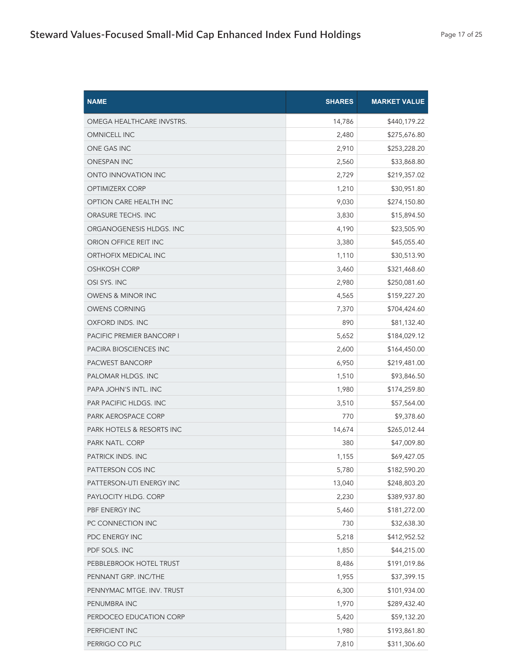| <b>NAME</b>                          | <b>SHARES</b> | <b>MARKET VALUE</b> |
|--------------------------------------|---------------|---------------------|
| OMEGA HEALTHCARE INVSTRS.            | 14,786        | \$440,179.22        |
| <b>OMNICELL INC</b>                  | 2,480         | \$275,676.80        |
| ONE GAS INC                          | 2,910         | \$253,228.20        |
| <b>ONESPAN INC</b>                   | 2,560         | \$33,868.80         |
| ONTO INNOVATION INC                  | 2,729         | \$219,357.02        |
| <b>OPTIMIZERX CORP</b>               | 1,210         | \$30,951.80         |
| OPTION CARE HEALTH INC               | 9,030         | \$274,150.80        |
| ORASURE TECHS. INC                   | 3,830         | \$15,894.50         |
| ORGANOGENESIS HLDGS. INC             | 4,190         | \$23,505.90         |
| ORION OFFICE REIT INC                | 3,380         | \$45,055.40         |
| ORTHOFIX MEDICAL INC                 | 1,110         | \$30,513.90         |
| <b>OSHKOSH CORP</b>                  | 3,460         | \$321,468.60        |
| OSI SYS. INC                         | 2,980         | \$250,081.60        |
| OWENS & MINOR INC                    | 4,565         | \$159,227.20        |
| <b>OWENS CORNING</b>                 | 7,370         | \$704,424.60        |
| OXFORD INDS. INC                     | 890           | \$81,132.40         |
| <b>PACIFIC PREMIER BANCORP I</b>     | 5,652         | \$184,029.12        |
| PACIRA BIOSCIENCES INC               | 2,600         | \$164,450.00        |
| PACWEST BANCORP                      | 6,950         | \$219,481.00        |
| PALOMAR HLDGS. INC                   | 1,510         | \$93,846.50         |
| PAPA JOHN'S INTL. INC                | 1,980         | \$174,259.80        |
| PAR PACIFIC HLDGS. INC               | 3,510         | \$57,564.00         |
| PARK AEROSPACE CORP                  | 770           | \$9,378.60          |
| <b>PARK HOTELS &amp; RESORTS INC</b> | 14,674        | \$265,012.44        |
| PARK NATL. CORP                      | 380           | \$47,009.80         |
| PATRICK INDS. INC                    | 1,155         | \$69,427.05         |
| PATTERSON COS INC                    | 5,780         | \$182,590.20        |
| PATTERSON-UTI ENERGY INC             | 13,040        | \$248,803.20        |
| PAYLOCITY HLDG. CORP                 | 2,230         | \$389,937.80        |
| PBF ENERGY INC                       | 5,460         | \$181,272.00        |
| PC CONNECTION INC                    | 730           | \$32,638.30         |
| PDC ENERGY INC                       | 5,218         | \$412,952.52        |
| PDF SOLS. INC                        | 1,850         | \$44,215.00         |
| PEBBLEBROOK HOTEL TRUST              | 8,486         | \$191,019.86        |
| PENNANT GRP. INC/THE                 | 1,955         | \$37,399.15         |
| PENNYMAC MTGE. INV. TRUST            | 6,300         | \$101,934.00        |
| PENUMBRA INC                         | 1,970         | \$289,432.40        |
| PERDOCEO EDUCATION CORP              | 5,420         | \$59,132.20         |
| PERFICIENT INC                       | 1,980         | \$193,861.80        |
| PERRIGO CO PLC                       | 7,810         | \$311,306.60        |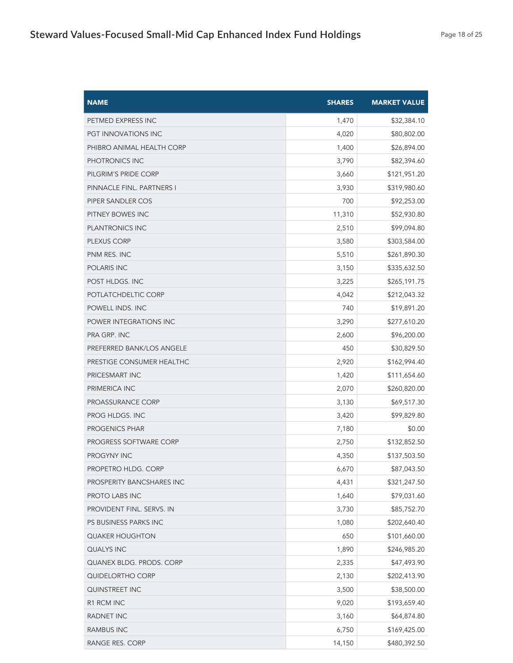| <b>NAME</b>                   | <b>SHARES</b> | <b>MARKET VALUE</b> |
|-------------------------------|---------------|---------------------|
| PETMED EXPRESS INC            | 1,470         | \$32,384.10         |
| PGT INNOVATIONS INC           | 4,020         | \$80,802.00         |
| PHIBRO ANIMAL HEALTH CORP     | 1,400         | \$26,894.00         |
| PHOTRONICS INC                | 3,790         | \$82,394.60         |
| PILGRIM'S PRIDE CORP          | 3,660         | \$121,951.20        |
| PINNACLE FINL. PARTNERS I     | 3,930         | \$319,980.60        |
| PIPER SANDLER COS             | 700           | \$92,253.00         |
| PITNEY BOWES INC              | 11,310        | \$52,930.80         |
| <b>PLANTRONICS INC</b>        | 2,510         | \$99,094.80         |
| PLEXUS CORP                   | 3,580         | \$303,584.00        |
| PNM RES. INC                  | 5,510         | \$261,890.30        |
| POLARIS INC                   | 3,150         | \$335,632.50        |
| POST HLDGS. INC               | 3,225         | \$265,191.75        |
| POTLATCHDELTIC CORP           | 4,042         | \$212,043.32        |
| POWELL INDS. INC              | 740           | \$19,891.20         |
| POWER INTEGRATIONS INC        | 3,290         | \$277,610.20        |
| PRA GRP. INC                  | 2,600         | \$96,200.00         |
| PREFERRED BANK/LOS ANGELE     | 450           | \$30,829.50         |
| PRESTIGE CONSUMER HEALTHC     | 2,920         | \$162,994.40        |
| PRICESMART INC                | 1,420         | \$111,654.60        |
| PRIMERICA INC                 | 2,070         | \$260,820.00        |
| PROASSURANCE CORP             | 3,130         | \$69,517.30         |
| PROG HLDGS. INC               | 3,420         | \$99,829.80         |
| <b>PROGENICS PHAR</b>         | 7,180         | \$0.00              |
| <b>PROGRESS SOFTWARE CORP</b> | 2,750         | \$132,852.50        |
| PROGYNY INC                   | 4,350         | \$137,503.50        |
| PROPETRO HLDG. CORP           | 6,670         | \$87,043.50         |
| PROSPERITY BANCSHARES INC     | 4,431         | \$321,247.50        |
| PROTO LABS INC                | 1,640         | \$79,031.60         |
| PROVIDENT FINL. SERVS. IN     | 3,730         | \$85,752.70         |
| PS BUSINESS PARKS INC         | 1,080         | \$202,640.40        |
| <b>QUAKER HOUGHTON</b>        | 650           | \$101,660.00        |
| QUALYS INC                    | 1,890         | \$246,985.20        |
| QUANEX BLDG. PRODS. CORP      | 2,335         | \$47,493.90         |
| QUIDELORTHO CORP              | 2,130         | \$202,413.90        |
| QUINSTREET INC                | 3,500         | \$38,500.00         |
| R1 RCM INC                    | 9,020         | \$193,659.40        |
| RADNET INC                    | 3,160         | \$64,874.80         |
| <b>RAMBUS INC</b>             | 6,750         | \$169,425.00        |
| RANGE RES. CORP               | 14,150        | \$480,392.50        |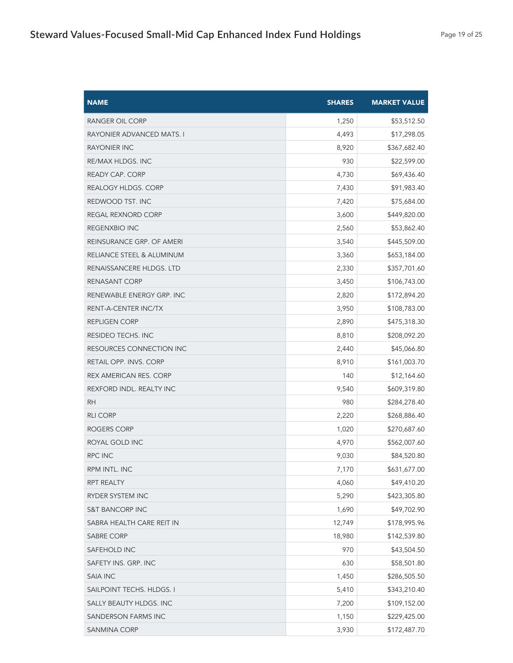| <b>NAME</b>                | <b>SHARES</b> | <b>MARKET VALUE</b> |
|----------------------------|---------------|---------------------|
| RANGER OIL CORP            | 1,250         | \$53,512.50         |
| RAYONIER ADVANCED MATS. I  | 4,493         | \$17,298.05         |
| <b>RAYONIER INC</b>        | 8,920         | \$367,682.40        |
| RE/MAX HLDGS. INC          | 930           | \$22,599.00         |
| <b>READY CAP. CORP</b>     | 4,730         | \$69,436.40         |
| REALOGY HLDGS. CORP        | 7,430         | \$91,983.40         |
| REDWOOD TST. INC           | 7,420         | \$75,684.00         |
| REGAL REXNORD CORP         | 3,600         | \$449,820.00        |
| REGENXBIO INC              | 2,560         | \$53,862.40         |
| REINSURANCE GRP. OF AMERI  | 3,540         | \$445,509.00        |
| RELIANCE STEEL & ALUMINUM  | 3,360         | \$653,184.00        |
| RENAISSANCERE HLDGS. LTD   | 2,330         | \$357,701.60        |
| RENASANT CORP              | 3,450         | \$106,743.00        |
| RENEWABLE ENERGY GRP. INC  | 2,820         | \$172,894.20        |
| RENT-A-CENTER INC/TX       | 3,950         | \$108,783.00        |
| <b>REPLIGEN CORP</b>       | 2,890         | \$475,318.30        |
| RESIDEO TECHS. INC         | 8,810         | \$208,092.20        |
| RESOURCES CONNECTION INC   | 2,440         | \$45,066.80         |
| RETAIL OPP. INVS. CORP     | 8,910         | \$161,003.70        |
| REX AMERICAN RES. CORP     | 140           | \$12,164.60         |
| REXFORD INDL. REALTY INC   | 9,540         | \$609,319.80        |
| <b>RH</b>                  | 980           | \$284,278.40        |
| <b>RLI CORP</b>            | 2,220         | \$268,886.40        |
| ROGERS CORP                | 1,020         | \$270,687.60        |
| ROYAL GOLD INC             | 4,970         | \$562,007.60        |
| RPC INC                    | 9,030         | \$84,520.80         |
| RPM INTL. INC              | 7,170         | \$631,677.00        |
| RPT REALTY                 | 4,060         | \$49,410.20         |
| RYDER SYSTEM INC           | 5,290         | \$423,305.80        |
| <b>S&amp;T BANCORP INC</b> | 1,690         | \$49,702.90         |
| SABRA HEALTH CARE REIT IN  | 12,749        | \$178,995.96        |
| <b>SABRE CORP</b>          | 18,980        | \$142,539.80        |
| SAFEHOLD INC               | 970           | \$43,504.50         |
| SAFETY INS. GRP. INC       | 630           | \$58,501.80         |
| <b>SAIA INC</b>            | 1,450         | \$286,505.50        |
| SAILPOINT TECHS. HLDGS. I  | 5,410         | \$343,210.40        |
| SALLY BEAUTY HLDGS. INC    | 7,200         | \$109,152.00        |
| SANDERSON FARMS INC        | 1,150         | \$229,425.00        |
| SANMINA CORP               | 3,930         | \$172,487.70        |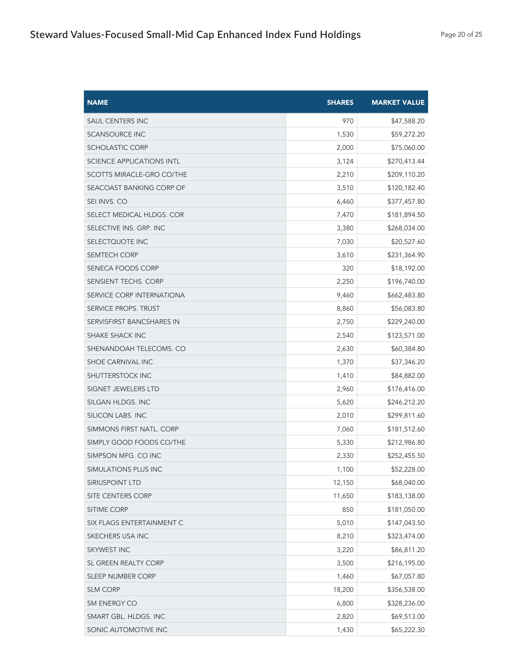| <b>NAME</b>                      | <b>SHARES</b> | <b>MARKET VALUE</b> |
|----------------------------------|---------------|---------------------|
| <b>SAUL CENTERS INC</b>          | 970           | \$47,588.20         |
| <b>SCANSOURCE INC</b>            | 1,530         | \$59,272.20         |
| <b>SCHOLASTIC CORP</b>           | 2,000         | \$75,060.00         |
| <b>SCIENCE APPLICATIONS INTL</b> | 3,124         | \$270,413.44        |
| SCOTTS MIRACLE-GRO CO/THE        | 2,210         | \$209,110.20        |
| SEACOAST BANKING CORP OF         | 3,510         | \$120,182.40        |
| SEI INVS. CO                     | 6,460         | \$377,457.80        |
| SELECT MEDICAL HLDGS. COR        | 7,470         | \$181,894.50        |
| SELECTIVE INS. GRP. INC          | 3,380         | \$268,034.00        |
| SELECTQUOTE INC                  | 7,030         | \$20,527.60         |
| <b>SEMTECH CORP</b>              | 3,610         | \$231,364.90        |
| SENECA FOODS CORP                | 320           | \$18,192.00         |
| SENSIENT TECHS. CORP             | 2,250         | \$196,740.00        |
| SERVICE CORP INTERNATIONA        | 9,460         | \$662,483.80        |
| SERVICE PROPS. TRUST             | 8,860         | \$56,083.80         |
| SERVISFIRST BANCSHARES IN        | 2,750         | \$229,240.00        |
| <b>SHAKE SHACK INC</b>           | 2,540         | \$123,571.00        |
| SHENANDOAH TELECOMS. CO          | 2,630         | \$60,384.80         |
| SHOE CARNIVAL INC                | 1,370         | \$37,346.20         |
| SHUTTERSTOCK INC                 | 1,410         | \$84,882.00         |
| SIGNET JEWELERS LTD              | 2,960         | \$176,416.00        |
| SILGAN HLDGS. INC                | 5,620         | \$246,212.20        |
| SILICON LABS. INC                | 2,010         | \$299,811.60        |
| SIMMONS FIRST NATL. CORP         | 7,060         | \$181,512.60        |
| SIMPLY GOOD FOODS CO/THE         | 5,330         | \$212,986.80        |
| SIMPSON MFG. CO INC              | 2,330         | \$252,455.50        |
| SIMULATIONS PLUS INC             | 1,100         | \$52,228.00         |
| SIRIUSPOINT LTD                  | 12,150        | \$68,040.00         |
| SITE CENTERS CORP                | 11,650        | \$183,138.00        |
| SITIME CORP                      | 850           | \$181,050.00        |
| SIX FLAGS ENTERTAINMENT C        | 5,010         | \$147,043.50        |
| SKECHERS USA INC                 | 8,210         | \$323,474.00        |
| SKYWEST INC                      | 3,220         | \$86,811.20         |
| SL GREEN REALTY CORP             | 3,500         | \$216,195.00        |
| SLEEP NUMBER CORP                | 1,460         | \$67,057.80         |
| <b>SLM CORP</b>                  | 18,200        | \$356,538.00        |
| SM ENERGY CO                     | 6,800         | \$328,236.00        |
| SMART GBL. HLDGS. INC            | 2,820         | \$69,513.00         |
| SONIC AUTOMOTIVE INC             | 1,430         | \$65,222.30         |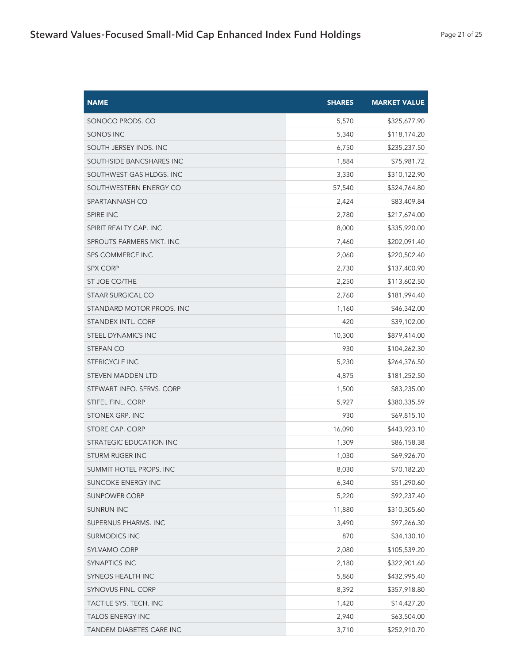| <b>NAME</b>               | <b>SHARES</b> | <b>MARKET VALUE</b> |
|---------------------------|---------------|---------------------|
| SONOCO PRODS. CO          | 5,570         | \$325,677.90        |
| SONOS INC                 | 5,340         | \$118,174.20        |
| SOUTH JERSEY INDS. INC    | 6,750         | \$235,237.50        |
| SOUTHSIDE BANCSHARES INC  | 1,884         | \$75,981.72         |
| SOUTHWEST GAS HLDGS. INC  | 3,330         | \$310,122.90        |
| SOUTHWESTERN ENERGY CO    | 57,540        | \$524,764.80        |
| SPARTANNASH CO            | 2,424         | \$83,409.84         |
| SPIRE INC                 | 2,780         | \$217,674.00        |
| SPIRIT REALTY CAP. INC    | 8,000         | \$335,920.00        |
| SPROUTS FARMERS MKT. INC  | 7,460         | \$202,091.40        |
| <b>SPS COMMERCE INC</b>   | 2,060         | \$220,502.40        |
| <b>SPX CORP</b>           | 2,730         | \$137,400.90        |
| ST JOE CO/THE             | 2,250         | \$113,602.50        |
| <b>STAAR SURGICAL CO</b>  | 2,760         | \$181,994.40        |
| STANDARD MOTOR PRODS. INC | 1,160         | \$46,342.00         |
| STANDEX INTL. CORP        | 420           | \$39,102.00         |
| STEEL DYNAMICS INC        | 10,300        | \$879,414.00        |
| <b>STEPAN CO</b>          | 930           | \$104,262.30        |
| <b>STERICYCLE INC</b>     | 5,230         | \$264,376.50        |
| <b>STEVEN MADDEN LTD</b>  | 4,875         | \$181,252.50        |
| STEWART INFO. SERVS. CORP | 1,500         | \$83,235.00         |
| STIFEL FINL. CORP         | 5,927         | \$380,335.59        |
| STONEX GRP. INC           | 930           | \$69,815.10         |
| STORE CAP. CORP           | 16,090        | \$443,923.10        |
| STRATEGIC EDUCATION INC   | 1,309         | \$86,158.38         |
| <b>STURM RUGER INC</b>    | 1,030         | \$69,926.70         |
| SUMMIT HOTEL PROPS. INC   | 8,030         | \$70,182.20         |
| SUNCOKE ENERGY INC        | 6,340         | \$51,290.60         |
| <b>SUNPOWER CORP</b>      | 5,220         | \$92,237.40         |
| <b>SUNRUN INC</b>         | 11,880        | \$310,305.60        |
| SUPERNUS PHARMS. INC      | 3,490         | \$97,266.30         |
| <b>SURMODICS INC</b>      | 870           | \$34,130.10         |
| SYLVAMO CORP              | 2,080         | \$105,539.20        |
| <b>SYNAPTICS INC</b>      | 2,180         | \$322,901.60        |
| SYNEOS HEALTH INC         | 5,860         | \$432,995.40        |
| SYNOVUS FINL. CORP        | 8,392         | \$357,918.80        |
| TACTILE SYS. TECH. INC    | 1,420         | \$14,427.20         |
| <b>TALOS ENERGY INC</b>   | 2,940         | \$63,504.00         |
| TANDEM DIABETES CARE INC  | 3,710         | \$252,910.70        |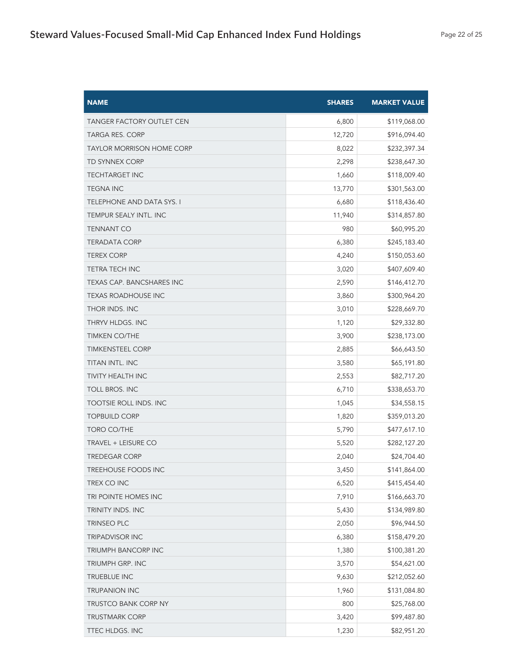| <b>NAME</b>                      | <b>SHARES</b> | <b>MARKET VALUE</b> |
|----------------------------------|---------------|---------------------|
| <b>TANGER FACTORY OUTLET CEN</b> | 6,800         | \$119,068.00        |
| <b>TARGA RES. CORP</b>           | 12,720        | \$916,094.40        |
| <b>TAYLOR MORRISON HOME CORP</b> | 8,022         | \$232,397.34        |
| TD SYNNEX CORP                   | 2,298         | \$238,647.30        |
| <b>TECHTARGET INC</b>            | 1,660         | \$118,009.40        |
| <b>TEGNA INC</b>                 | 13,770        | \$301,563.00        |
| <b>TELEPHONE AND DATA SYS. I</b> | 6,680         | \$118,436.40        |
| TEMPUR SEALY INTL. INC           | 11,940        | \$314,857.80        |
| <b>TENNANT CO</b>                | 980           | \$60,995.20         |
| TERADATA CORP                    | 6,380         | \$245,183.40        |
| <b>TEREX CORP</b>                | 4,240         | \$150,053.60        |
| <b>TETRA TECH INC</b>            | 3,020         | \$407,609.40        |
| TEXAS CAP. BANCSHARES INC        | 2,590         | \$146,412.70        |
| <b>TEXAS ROADHOUSE INC</b>       | 3,860         | \$300,964.20        |
| THOR INDS. INC                   | 3,010         | \$228,669.70        |
| THRYV HLDGS. INC                 | 1,120         | \$29,332.80         |
| <b>TIMKEN CO/THE</b>             | 3,900         | \$238,173.00        |
| <b>TIMKENSTEEL CORP</b>          | 2,885         | \$66,643.50         |
| TITAN INTL. INC                  | 3,580         | \$65,191.80         |
| <b>TIVITY HEALTH INC</b>         | 2,553         | \$82,717.20         |
| TOLL BROS. INC                   | 6,710         | \$338,653.70        |
| TOOTSIE ROLL INDS. INC           | 1,045         | \$34,558.15         |
| <b>TOPBUILD CORP</b>             | 1,820         | \$359,013.20        |
| TORO CO/THE                      | 5,790         | \$477,617.10        |
| TRAVEL + LEISURE CO              | 5,520         | \$282,127.20        |
| <b>TREDEGAR CORP</b>             | 2,040         | \$24,704.40         |
| <b>TREEHOUSE FOODS INC</b>       | 3,450         | \$141,864.00        |
| TREX CO INC                      | 6,520         | \$415,454.40        |
| TRI POINTE HOMES INC             | 7,910         | \$166,663.70        |
| TRINITY INDS. INC                | 5,430         | \$134,989.80        |
| <b>TRINSEO PLC</b>               | 2,050         | \$96,944.50         |
| <b>TRIPADVISOR INC</b>           | 6,380         | \$158,479.20        |
| TRIUMPH BANCORP INC              | 1,380         | \$100,381.20        |
| TRIUMPH GRP. INC                 | 3,570         | \$54,621.00         |
| TRUEBLUE INC                     | 9,630         | \$212,052.60        |
| TRUPANION INC                    | 1,960         | \$131,084.80        |
| TRUSTCO BANK CORP NY             | 800           | \$25,768.00         |
| <b>TRUSTMARK CORP</b>            | 3,420         | \$99,487.80         |
| TTEC HLDGS. INC                  | 1,230         | \$82,951.20         |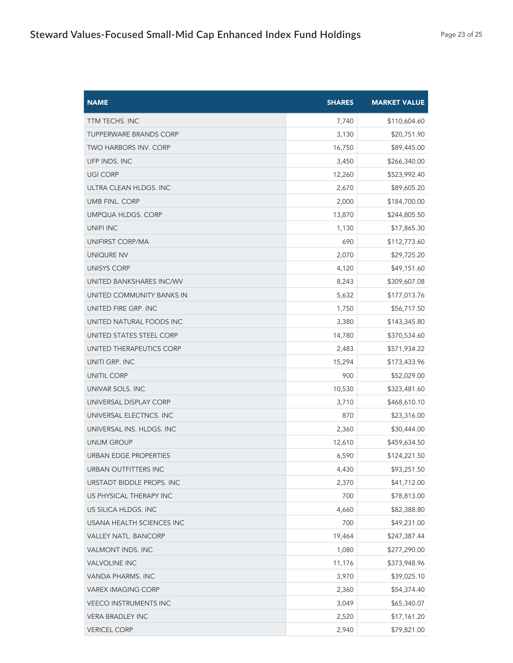| <b>NAME</b>                   | <b>SHARES</b> | <b>MARKET VALUE</b> |
|-------------------------------|---------------|---------------------|
| <b>TTM TECHS. INC</b>         | 7,740         | \$110,604.60        |
| <b>TUPPERWARE BRANDS CORP</b> | 3,130         | \$20,751.90         |
| <b>TWO HARBORS INV. CORP</b>  | 16,750        | \$89,445.00         |
| UFP INDS. INC                 | 3,450         | \$266,340.00        |
| <b>UGI CORP</b>               | 12,260        | \$523,992.40        |
| ULTRA CLEAN HLDGS. INC        | 2,670         | \$89,605.20         |
| <b>UMB FINL. CORP</b>         | 2,000         | \$184,700.00        |
| <b>UMPQUA HLDGS, CORP</b>     | 13,870        | \$244,805.50        |
| <b>UNIFI INC</b>              | 1,130         | \$17,865.30         |
| UNIFIRST CORP/MA              | 690           | \$112,773.60        |
| UNIQURE NV                    | 2,070         | \$29,725.20         |
| UNISYS CORP                   | 4,120         | \$49,151.60         |
| UNITED BANKSHARES INC/WV      | 8,243         | \$309,607.08        |
| UNITED COMMUNITY BANKS IN     | 5,632         | \$177,013.76        |
| UNITED FIRE GRP. INC          | 1,750         | \$56,717.50         |
| UNITED NATURAL FOODS INC      | 3,380         | \$143,345.80        |
| UNITED STATES STEEL CORP      | 14,780        | \$370,534.60        |
| UNITED THERAPEUTICS CORP      | 2,483         | \$571,934.22        |
| UNITI GRP. INC                | 15,294        | \$173,433.96        |
| <b>UNITIL CORP</b>            | 900           | \$52,029.00         |
| UNIVAR SOLS. INC              | 10,530        | \$323,481.60        |
| UNIVERSAL DISPLAY CORP        | 3,710         | \$468,610.10        |
| UNIVERSAL ELECTNCS. INC       | 870           | \$23,316.00         |
| UNIVERSAL INS. HLDGS. INC     | 2,360         | \$30,444.00         |
| <b>UNUM GROUP</b>             | 12,610        | \$459,634.50        |
| URBAN EDGE PROPERTIES         | 6,590         | \$124,221.50        |
| <b>URBAN OUTFITTERS INC</b>   | 4,430         | \$93,251.50         |
| URSTADT BIDDLE PROPS. INC     | 2,370         | \$41,712.00         |
| US PHYSICAL THERAPY INC       | 700           | \$78,813.00         |
| US SILICA HLDGS. INC          | 4,660         | \$82,388.80         |
| USANA HEALTH SCIENCES INC     | 700           | \$49,231.00         |
| <b>VALLEY NATL. BANCORP</b>   | 19,464        | \$247,387.44        |
| VALMONT INDS. INC             | 1,080         | \$277,290.00        |
| <b>VALVOLINE INC</b>          | 11,176        | \$373,948.96        |
| VANDA PHARMS. INC             | 3,970         | \$39,025.10         |
| <b>VAREX IMAGING CORP</b>     | 2,360         | \$54,374.40         |
| <b>VEECO INSTRUMENTS INC</b>  | 3,049         | \$65,340.07         |
| <b>VERA BRADLEY INC</b>       | 2,520         | \$17,161.20         |
| <b>VERICEL CORP</b>           | 2,940         | \$79,821.00         |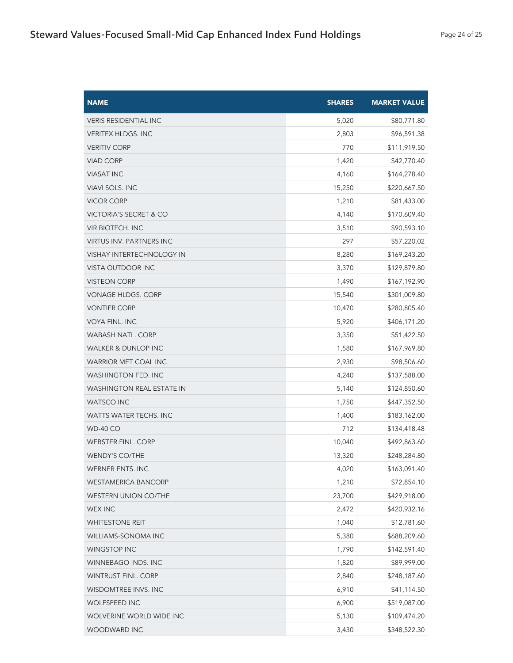| <b>NAME</b>                      | <b>SHARES</b> | <b>MARKET VALUE</b> |
|----------------------------------|---------------|---------------------|
| <b>VERIS RESIDENTIAL INC</b>     | 5,020         | \$80,771.80         |
| <b>VERITEX HLDGS. INC</b>        | 2,803         | \$96,591.38         |
| <b>VERITIV CORP</b>              | 770           | \$111,919.50        |
| <b>VIAD CORP</b>                 | 1,420         | \$42,770.40         |
| <b>VIASAT INC</b>                | 4,160         | \$164,278.40        |
| <b>VIAVI SOLS. INC</b>           | 15,250        | \$220,667.50        |
| <b>VICOR CORP</b>                | 1,210         | \$81,433.00         |
| VICTORIA'S SECRET & CO           | 4,140         | \$170,609.40        |
| <b>VIR BIOTECH. INC</b>          | 3,510         | \$90,593.10         |
| <b>VIRTUS INV. PARTNERS INC</b>  | 297           | \$57,220.02         |
| VISHAY INTERTECHNOLOGY IN        | 8,280         | \$169,243.20        |
| VISTA OUTDOOR INC                | 3,370         | \$129,879.80        |
| <b>VISTEON CORP</b>              | 1,490         | \$167,192.90        |
| VONAGE HLDGS. CORP               | 15,540        | \$301,009.80        |
| <b>VONTIER CORP</b>              | 10,470        | \$280,805.40        |
| <b>VOYA FINL. INC</b>            | 5,920         | \$406,171.20        |
| WABASH NATL. CORP                | 3,350         | \$51,422.50         |
| <b>WALKER &amp; DUNLOP INC</b>   | 1,580         | \$167,969.80        |
| WARRIOR MET COAL INC             | 2,930         | \$98,506.60         |
| WASHINGTON FED. INC              | 4,240         | \$137,588.00        |
| <b>WASHINGTON REAL ESTATE IN</b> | 5,140         | \$124,850.60        |
| <b>WATSCO INC</b>                | 1,750         | \$447,352.50        |
| WATTS WATER TECHS. INC           | 1,400         | \$183,162.00        |
| <b>WD-40 CO</b>                  | 712           | \$134,418.48        |
| <b>WEBSTER FINL. CORP</b>        | 10,040        | \$492,863.60        |
| <b>WENDY'S CO/THE</b>            | 13,320        | \$248,284.80        |
| WERNER ENTS. INC                 | 4,020         | \$163,091.40        |
| <b>WESTAMERICA BANCORP</b>       | 1,210         | \$72,854.10         |
| <b>WESTERN UNION CO/THE</b>      | 23,700        | \$429,918.00        |
| <b>WEX INC</b>                   | 2,472         | \$420,932.16        |
| <b>WHITESTONE REIT</b>           | 1,040         | \$12,781.60         |
| WILLIAMS-SONOMA INC              | 5,380         | \$688,209.60        |
| <b>WINGSTOP INC</b>              | 1,790         | \$142,591.40        |
| WINNEBAGO INDS. INC              | 1,820         | \$89,999.00         |
| WINTRUST FINL. CORP              | 2,840         | \$248,187.60        |
| WISDOMTREE INVS. INC             | 6,910         | \$41,114.50         |
| WOLFSPEED INC                    | 6,900         | \$519,087.00        |
| WOLVERINE WORLD WIDE INC         | 5,130         | \$109,474.20        |
| WOODWARD INC                     | 3,430         | \$348,522.30        |